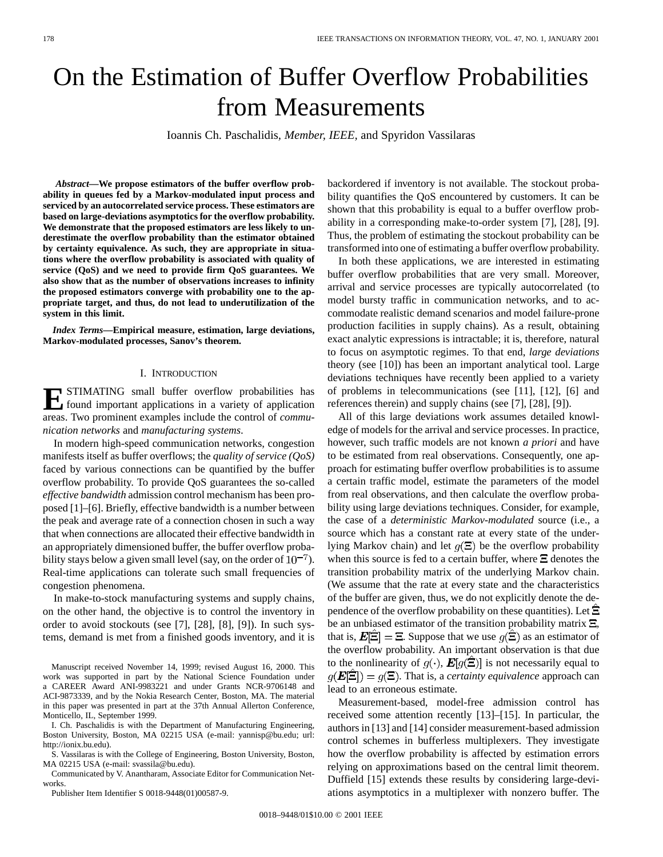# On the Estimation of Buffer Overflow Probabilities from Measurements

Ioannis Ch. Paschalidis*, Member, IEEE,* and Spyridon Vassilaras

*Abstract—***We propose estimators of the buffer overflow probability in queues fed by a Markov-modulated input process and serviced by an autocorrelated service process. These estimators are based on large-deviations asymptotics for the overflow probability. We demonstrate that the proposed estimators are less likely to underestimate the overflow probability than the estimator obtained by certainty equivalence. As such, they are appropriate in situations where the overflow probability is associated with quality of service (QoS) and we need to provide firm QoS guarantees. We also show that as the number of observations increases to infinity the proposed estimators converge with probability one to the appropriate target, and thus, do not lead to underutilization of the system in this limit.**

*Index Terms—***Empirical measure, estimation, large deviations, Markov-modulated processes, Sanov's theorem.**

#### I. INTRODUCTION

**E**STIMATING small buffer overflow probabilities has<br>found important applications in a variety of application<br>assessed The applications in a variety of application areas. Two prominent examples include the control of *communication networks* and *manufacturing systems*.

In modern high-speed communication networks, congestion manifests itself as buffer overflows; the *quality of service (QoS)* faced by various connections can be quantified by the buffer overflow probability. To provide QoS guarantees the so-called *effective bandwidth* admission control mechanism has been proposed [1]–[6]. Briefly, effective bandwidth is a number between the peak and average rate of a connection chosen in such a way that when connections are allocated their effective bandwidth in an appropriately dimensioned buffer, the buffer overflow probability stays below a given small level (say, on the order of  $10^{-7}$ ). Real-time applications can tolerate such small frequencies of congestion phenomena.

In make-to-stock manufacturing systems and supply chains, on the other hand, the objective is to control the inventory in order to avoid stockouts (see [7], [28], [8], [9]). In such systems, demand is met from a finished goods inventory, and it is

Manuscript received November 14, 1999; revised August 16, 2000. This work was supported in part by the National Science Foundation under a CAREER Award ANI-9983221 and under Grants NCR-9706148 and ACI-9873339, and by the Nokia Research Center, Boston, MA. The material in this paper was presented in part at the 37th Annual Allerton Conference, Monticello, IL, September 1999.

I. Ch. Paschalidis is with the Department of Manufacturing Engineering, Boston University, Boston, MA 02215 USA (e-mail: yannisp@bu.edu; url: http://ionix.bu.edu).

S. Vassilaras is with the College of Engineering, Boston University, Boston, MA 02215 USA (e-mail: svassila@bu.edu).

Communicated by V. Anantharam, Associate Editor for Communication Networks.

Publisher Item Identifier S 0018-9448(01)00587-9.

backordered if inventory is not available. The stockout probability quantifies the QoS encountered by customers. It can be shown that this probability is equal to a buffer overflow probability in a corresponding make-to-order system [7], [28], [9]. Thus, the problem of estimating the stockout probability can be transformed into one of estimating a buffer overflow probability.

In both these applications, we are interested in estimating buffer overflow probabilities that are very small. Moreover, arrival and service processes are typically autocorrelated (to model bursty traffic in communication networks, and to accommodate realistic demand scenarios and model failure-prone production facilities in supply chains). As a result, obtaining exact analytic expressions is intractable; it is, therefore, natural to focus on asymptotic regimes. To that end, *large deviations* theory (see [10]) has been an important analytical tool. Large deviations techniques have recently been applied to a variety of problems in telecommunications (see [11], [12], [6] and references therein) and supply chains (see [7], [28], [9]).

All of this large deviations work assumes detailed knowledge of models for the arrival and service processes. In practice, however, such traffic models are not known *a priori* and have to be estimated from real observations. Consequently, one approach for estimating buffer overflow probabilities is to assume a certain traffic model, estimate the parameters of the model from real observations, and then calculate the overflow probability using large deviations techniques. Consider, for example, the case of a *deterministic Markov-modulated* source (i.e., a source which has a constant rate at every state of the underlying Markov chain) and let  $g(\Xi)$  be the overflow probability when this source is fed to a certain buffer, where  $\Xi$  denotes the transition probability matrix of the underlying Markov chain. (We assume that the rate at every state and the characteristics of the buffer are given, thus, we do not explicitly denote the dependence of the overflow probability on these quantities). Let  $\Xi$ be an unbiased estimator of the transition probability matrix  $\Xi$ , that is,  $E[\Xi] = \Xi$ . Suppose that we use  $g(\Xi)$  as an estimator of the overflow probability. An important observation is that due to the nonlinearity of  $g(\cdot)$ ,  $\mathbf{E}[g(\Xi)]$  is not necessarily equal to  $q(E[\Xi]) = q(\Xi)$ . That is, a *certainty equivalence* approach can lead to an erroneous estimate.

Measurement-based, model-free admission control has received some attention recently [13]–[15]. In particular, the authors in [13] and [14] consider measurement-based admission control schemes in bufferless multiplexers. They investigate how the overflow probability is affected by estimation errors relying on approximations based on the central limit theorem. Duffield [15] extends these results by considering large-deviations asymptotics in a multiplexer with nonzero buffer. The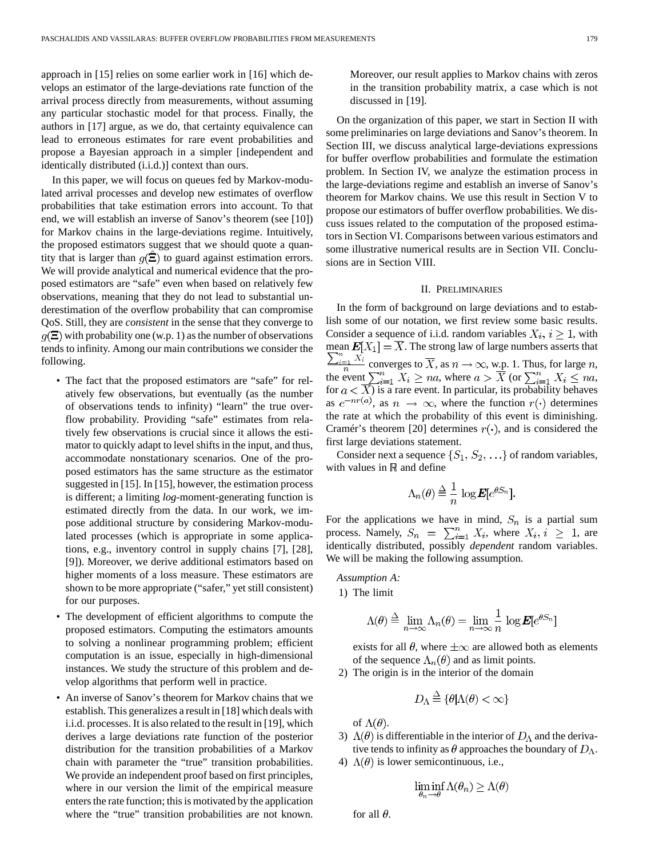approach in [15] relies on some earlier work in [16] which develops an estimator of the large-deviations rate function of the arrival process directly from measurements, without assuming any particular stochastic model for that process. Finally, the authors in [17] argue, as we do, that certainty equivalence can lead to erroneous estimates for rare event probabilities and propose a Bayesian approach in a simpler [independent and identically distributed (i.i.d.)] context than ours.

In this paper, we will focus on queues fed by Markov-modulated arrival processes and develop new estimates of overflow probabilities that take estimation errors into account. To that end, we will establish an inverse of Sanov's theorem (see [10]) for Markov chains in the large-deviations regime. Intuitively, the proposed estimators suggest that we should quote a quantity that is larger than  $g(\hat{\Xi})$  to guard against estimation errors. We will provide analytical and numerical evidence that the proposed estimators are "safe" even when based on relatively few observations, meaning that they do not lead to substantial underestimation of the overflow probability that can compromise QoS. Still, they are *consistent* in the sense that they converge to  $g(\Xi)$  with probability one (w.p. 1) as the number of observations tends to infinity. Among our main contributions we consider the following.

- The fact that the proposed estimators are "safe" for relatively few observations, but eventually (as the number of observations tends to infinity) "learn" the true overflow probability. Providing "safe" estimates from relatively few observations is crucial since it allows the estimator to quickly adapt to level shifts in the input, and thus, accommodate nonstationary scenarios. One of the proposed estimators has the same structure as the estimator suggested in [15]. In [15], however, the estimation process is different; a limiting *log*-moment-generating function is estimated directly from the data. In our work, we impose additional structure by considering Markov-modulated processes (which is appropriate in some applications, e.g., inventory control in supply chains [7], [28], [9]). Moreover, we derive additional estimators based on higher moments of a loss measure. These estimators are shown to be more appropriate ("safer," yet still consistent) for our purposes.
- The development of efficient algorithms to compute the proposed estimators. Computing the estimators amounts to solving a nonlinear programming problem; efficient computation is an issue, especially in high-dimensional instances. We study the structure of this problem and develop algorithms that perform well in practice.
- An inverse of Sanov's theorem for Markov chains that we establish. This generalizes a result in [18] which deals with i.i.d. processes. It is also related to the result in [19], which derives a large deviations rate function of the posterior distribution for the transition probabilities of a Markov chain with parameter the "true" transition probabilities. We provide an independent proof based on first principles, where in our version the limit of the empirical measure enters the rate function; this is motivated by the application where the "true" transition probabilities are not known.

Moreover, our result applies to Markov chains with zeros in the transition probability matrix, a case which is not discussed in [19].

On the organization of this paper, we start in Section II with some preliminaries on large deviations and Sanov's theorem. In Section III, we discuss analytical large-deviations expressions for buffer overflow probabilities and formulate the estimation problem. In Section IV, we analyze the estimation process in the large-deviations regime and establish an inverse of Sanov's theorem for Markov chains. We use this result in Section V to propose our estimators of buffer overflow probabilities. We discuss issues related to the computation of the proposed estimators in Section VI. Comparisons between various estimators and some illustrative numerical results are in Section VII. Conclusions are in Section VIII.

### II. PRELIMINARIES

In the form of background on large deviations and to establish some of our notation, we first review some basic results. Consider a sequence of i.i.d. random variables  $X_i, i \geq 1$ , with mean  $\mathbf{E}[X_1] = \overline{X}$ . The strong law of large numbers asserts that converges to  $\overline{X}$ , as  $n \to \infty$ , w.p. 1. Thus, for large n, the event  $\sum_{i=1}^{n} X_i \ge na$ , where  $a > X$  (or  $\sum_{i=1}^{n} X_i \le na$ , for  $a < \overline{X}$  is a rare event. In particular, its probability behaves as  $e^{-nr(a)}$ , as  $n \to \infty$ , where the function  $r(\cdot)$  determines the rate at which the probability of this event is diminishing. Cramér's theorem [20] determines  $r(\cdot)$ , and is considered the first large deviations statement.

Consider next a sequence  $\{S_1, S_2, \ldots\}$  of random variables, with values in  $\mathbb R$  and define

$$
\Lambda_n(\theta) \stackrel{\Delta}{=} \frac{1}{n} \log \mathbf{E} [e^{\theta S_n}].
$$

For the applications we have in mind,  $S_n$  is a partial sum process. Namely,  $S_n = \sum_{i=1}^n X_i$ , where  $X_i, i \geq 1$ , are identically distributed, possibly *dependent* random variables. We will be making the following assumption.

*Assumption A:*

1) The limit

$$
\Lambda(\theta) \stackrel{\Delta}{=} \lim_{n \to \infty} \Lambda_n(\theta) = \lim_{n \to \infty} \frac{1}{n} \log \mathbf{E}[e^{\theta S_n}]
$$

exists for all  $\theta$ , where  $\pm \infty$  are allowed both as elements of the sequence  $\Lambda_n(\theta)$  and as limit points.

2) The origin is in the interior of the domain

$$
D_\Lambda \stackrel{\Delta}{=} \{\theta | \Lambda(\theta) < \infty\}
$$

of  $\Lambda(\theta)$ .

- 3)  $\Lambda(\theta)$  is differentiable in the interior of  $D_{\Lambda}$  and the derivative tends to infinity as  $\theta$  approaches the boundary of  $D_{\Lambda}$ .
- 4)  $\Lambda(\theta)$  is lower semicontinuous, i.e.,

$$
\liminf_{\theta_n \to \theta} \Lambda(\theta_n) \ge \Lambda(\theta)
$$

for all  $\theta$ .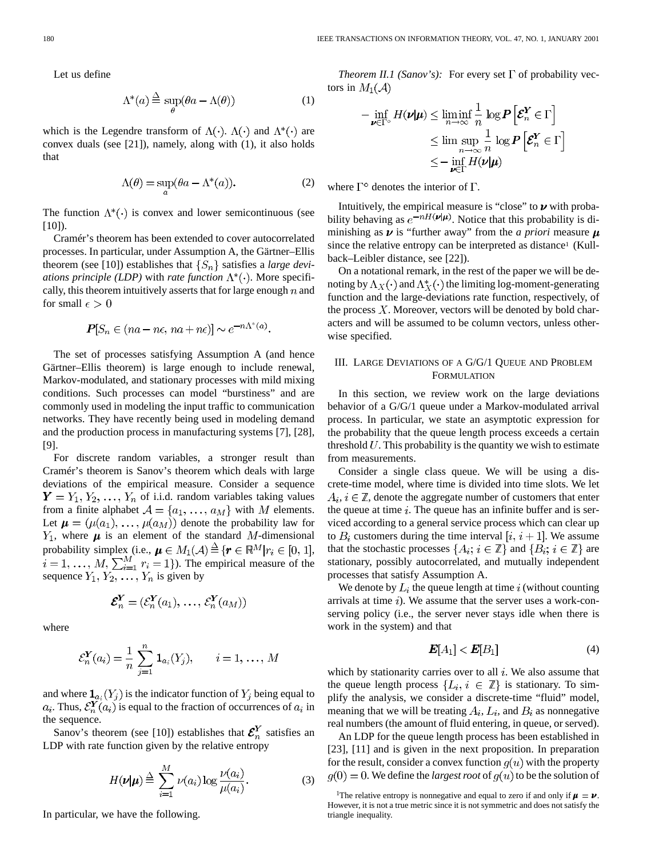Let us define

$$
\Lambda^*(a) \stackrel{\Delta}{=} \sup_{\theta} (\theta a - \Lambda(\theta)) \tag{1}
$$

which is the Legendre transform of  $\Lambda(\cdot)$ .  $\Lambda(\cdot)$  and  $\Lambda^*(\cdot)$  are convex duals (see [21]), namely, along with (1), it also holds that

$$
\Lambda(\theta) = \sup_{a} (\theta a - \Lambda^*(a)).
$$
 (2)

The function  $\Lambda^*(\cdot)$  is convex and lower semicontinuous (see [10]).

Cramér's theorem has been extended to cover autocorrelated processes. In particular, under Assumption A, the Gärtner–Ellis theorem (see [10]) establishes that  $\{S_n\}$  satisfies a *large deviations principle (LDP)* with *rate function*  $\Lambda^*(\cdot)$ . More specifically, this theorem intuitively asserts that for large enough  $n$  and for small  $\epsilon > 0$ 

$$
\boldsymbol{P}[S_n \in (na - n\epsilon, na + n\epsilon)] \sim e^{-n\Lambda^*(a)}.
$$

The set of processes satisfying Assumption A (and hence Gärtner–Ellis theorem) is large enough to include renewal, Markov-modulated, and stationary processes with mild mixing conditions. Such processes can model "burstiness" and are commonly used in modeling the input traffic to communication networks. They have recently being used in modeling demand and the production process in manufacturing systems [7], [28], [9].

For discrete random variables, a stronger result than Cramér's theorem is Sanov's theorem which deals with large deviations of the empirical measure. Consider a sequence  $\mathbf{Y} = Y_1, Y_2, \dots, Y_n$  of i.i.d. random variables taking values from a finite alphabet  $A = \{a_1, \ldots, a_M\}$  with M elements. Let  $\mu = (\mu(a_1), \ldots, \mu(a_M))$  denote the probability law for  $Y_1$ , where  $\mu$  is an element of the standard M-dimensional probability simplex (i.e.,  $\mu \in M_1(\mathcal{A}) \stackrel{\Delta}{=} \{r \in \mathbb{R}^M | r_i \in [0, 1],\}$  $i = 1, \ldots, M, \sum_{i=1}^{M} r_i = 1$ . The empirical measure of the sequence  $Y_1, Y_2, \ldots, Y_n$  is given by

$$
\boldsymbol{\mathcal{E}}_n^{\boldsymbol{Y}}=(\mathcal{E}_n^{\boldsymbol{Y}}(a_1),\,\ldots,\,\mathcal{E}_n^{\boldsymbol{Y}}(a_M))
$$

where

$$
\mathcal{E}_n^{\mathbf{Y}}(a_i) = \frac{1}{n} \sum_{j=1}^n \mathbf{1}_{a_i}(Y_j), \qquad i = 1, \ldots, M
$$

and where  $\mathbf{1}_{a_i}(Y_j)$  is the indicator function of  $Y_j$  being equal to  $a_i$ . Thus,  $\mathcal{E}_n^{\mathbf{Y}}(a_i)$  is equal to the fraction of occurrences of  $a_i$  in the sequence.

Sanov's theorem (see [10]) establishes that  $\mathcal{E}_n^Y$  satisfies an LDP with rate function given by the relative entropy

$$
H(\nu|\mu) \stackrel{\Delta}{=} \sum_{i=1}^{M} \nu(a_i) \log \frac{\nu(a_i)}{\mu(a_i)}.
$$
 (3)

In particular, we have the following.

*Theorem II.1 (Sanov's):* For every set  $\Gamma$  of probability vectors in  $M_1(\mathcal{A})$ 

$$
- \inf_{\boldsymbol{\nu} \in \Gamma^{\circ}} H(\boldsymbol{\nu} | \boldsymbol{\mu}) \leq \liminf_{n \to \infty} \frac{1}{n} \log \boldsymbol{P} \left[ \boldsymbol{\mathcal{E}}_n^{\boldsymbol{Y}} \in \Gamma \right] \\
\leq \limsup_{n \to \infty} \frac{1}{n} \log \boldsymbol{P} \left[ \boldsymbol{\mathcal{E}}_n^{\boldsymbol{Y}} \in \Gamma \right] \\
\leq - \inf_{\boldsymbol{\nu} \in \Gamma} H(\boldsymbol{\nu} | \boldsymbol{\mu})
$$

where  $\Gamma^{\circ}$  denotes the interior of  $\Gamma$ .

Intuitively, the empirical measure is "close" to  $\nu$  with probability behaving as  $e^{-nH(\boldsymbol{\nu}|\boldsymbol{\mu})}$ . Notice that this probability is diminishing as  $\nu$  is "further away" from the *a priori* measure  $\mu$ since the relative entropy can be interpreted as distance<sup>1</sup> (Kullback–Leibler distance, see [22]).

On a notational remark, in the rest of the paper we will be denoting by  $\Lambda_X(\cdot)$  and  $\Lambda_X^*(\cdot)$  the limiting log-moment-generating function and the large-deviations rate function, respectively, of the process  $X$ . Moreover, vectors will be denoted by bold characters and will be assumed to be column vectors, unless otherwise specified.

## III. LARGE DEVIATIONS OF A G/G/1 QUEUE AND PROBLEM FORMULATION

In this section, we review work on the large deviations behavior of a G/G/1 queue under a Markov-modulated arrival process. In particular, we state an asymptotic expression for the probability that the queue length process exceeds a certain threshold  $U$ . This probability is the quantity we wish to estimate from measurements.

Consider a single class queue. We will be using a discrete-time model, where time is divided into time slots. We let  $A_i, i \in \mathbb{Z}$ , denote the aggregate number of customers that enter the queue at time  $i$ . The queue has an infinite buffer and is serviced according to a general service process which can clear up to  $B_i$  customers during the time interval  $[i, i+1]$ . We assume that the stochastic processes  $\{A_i; i \in \mathbb{Z}\}\$  and  $\{B_i; i \in \mathbb{Z}\}\$  are stationary, possibly autocorrelated, and mutually independent processes that satisfy Assumption A.

We denote by  $L_i$  the queue length at time i (without counting arrivals at time  $i$ ). We assume that the server uses a work-conserving policy (i.e., the server never stays idle when there is work in the system) and that

$$
\boldsymbol{E}[A_1] < \boldsymbol{E}[B_1] \tag{4}
$$

which by stationarity carries over to all  $i$ . We also assume that the queue length process  $\{L_i, i \in \mathbb{Z}\}\$ is stationary. To simplify the analysis, we consider a discrete-time "fluid" model, meaning that we will be treating  $A_i$ ,  $L_i$ , and  $B_i$  as nonnegative real numbers (the amount of fluid entering, in queue, or served).

An LDP for the queue length process has been established in [23], [11] and is given in the next proposition. In preparation for the result, consider a convex function  $g(u)$  with the property  $g(0) = 0$ . We define the *largest root* of  $g(u)$  to be the solution of

<sup>&</sup>lt;sup>1</sup>The relative entropy is nonnegative and equal to zero if and only if  $\mu = \nu$ . However, it is not a true metric since it is not symmetric and does not satisfy the triangle inequality.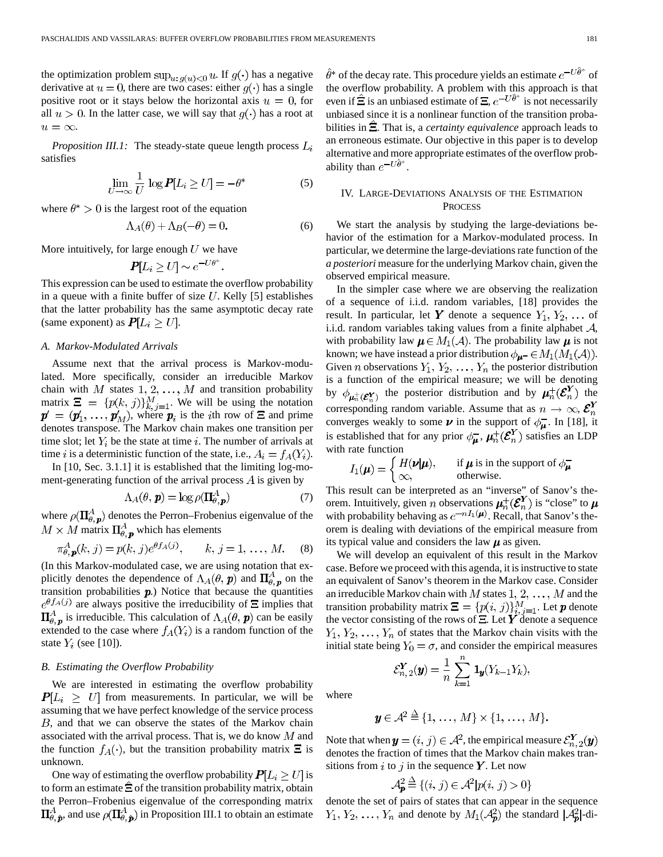the optimization problem  $\sup_{u: g(u) < 0} u$ . If  $g(\cdot)$  has a negative derivative at  $u = 0$ , there are two cases: either  $g(\cdot)$  has a single positive root or it stays below the horizontal axis  $u = 0$ , for all  $u > 0$ . In the latter case, we will say that  $g(\cdot)$  has a root at  $u = \infty$ .

*Proposition III.1:* The steady-state queue length process  $L_i$ satisfies

$$
\lim_{U \to \infty} \frac{1}{U} \log P[L_i \ge U] = -\theta^*
$$
\n(5)

where  $\theta^* > 0$  is the largest root of the equation

$$
\Lambda_A(\theta) + \Lambda_B(-\theta) = 0. \tag{6}
$$

More intuitively, for large enough  $U$  we have

$$
\boldsymbol{P}[L_i \geq U] \sim e^{-U\theta^*}
$$

This expression can be used to estimate the overflow probability in a queue with a finite buffer of size  $U$ . Kelly [5] establishes that the latter probability has the same asymptotic decay rate (same exponent) as  $P[L_i \geq U]$ .

## *A. Markov-Modulated Arrivals*

Assume next that the arrival process is Markov-modulated. More specifically, consider an irreducible Markov chain with M states  $1, 2, ..., M$  and transition probability matrix  $\mathbf{\Xi} = \{p(k, j)\}_{k=1}^{M}$ . We will be using the notation  $\mathbf{p}' = (\mathbf{p}'_1, \dots, \mathbf{p}'_M)$ , where  $\mathbf{p}_i$  is the *i*th row of  $\Xi$  and prime denotes transpose. The Markov chain makes one transition per time slot; let  $Y_i$  be the state at time i. The number of arrivals at time i is a deterministic function of the state, i.e.,  $A_i = f_A(Y_i)$ .

In [10, Sec. 3.1.1] it is established that the limiting log-moment-generating function of the arrival process  $A$  is given by

$$
\Lambda_A(\theta, \mathbf{p}) = \log \rho(\Pi_{\theta, \mathbf{p}}^A)
$$
 (7)

where  $\rho(\Pi^A_{\theta, \mathbf{p}})$  denotes the Perron–Frobenius eigenvalue of the  $M \times M$  matrix  $\prod_{\theta}^{A} p$  which has elements

$$
\pi_{\theta,\mathbf{p}}^A(k,j) = p(k,j)e^{\theta f_A(j)}, \qquad k, j = 1, \dots, M. \tag{8}
$$

(In this Markov-modulated case, we are using notation that explicitly denotes the dependence of  $\Lambda_A(\theta, \mathbf{p})$  and  $\prod_{\theta, \mathbf{p}}^A$  on the transition probabilities  $\boldsymbol{p}$ .) Notice that because the quantities  $e^{\theta f_A(j)}$  are always positive the irreducibility of  $\Xi$  implies that  $\prod_{\theta,p}^A$  is irreducible. This calculation of  $\Lambda_A(\theta, \mathbf{p})$  can be easily extended to the case where  $f_A(Y_i)$  is a random function of the state  $Y_i$  (see [10]).

### *B. Estimating the Overflow Probability*

We are interested in estimating the overflow probability  $P[L_i \geq U]$  from measurements. In particular, we will be assuming that we have perfect knowledge of the service process B, and that we can observe the states of the Markov chain associated with the arrival process. That is, we do know  $M$  and the function  $f_A(\cdot)$ , but the transition probability matrix  $\Xi$  is unknown.

One way of estimating the overflow probability  $P[L_i \geq U]$  is to form an estimate  $\Xi$  of the transition probability matrix, obtain the Perron–Frobenius eigenvalue of the corresponding matrix  $\Pi_{\theta, \hat{\mathbf{p}}}^A$ , and use  $\rho(\Pi_{\theta, \hat{\mathbf{p}}}^A)$  in Proposition III.1 to obtain an estimate  $\hat{\theta}^*$  of the decay rate. This procedure yields an estimate  $e^{-U\hat{\theta}^*}$  of the overflow probability. A problem with this approach is that even if  $\hat{\Xi}$  is an unbiased estimate of  $\Xi$ ,  $e^{-U\hat{\theta}^*}$  is not necessarily unbiased since it is a nonlinear function of the transition probabilities in  $\hat{\Xi}$ . That is, a *certainty equivalence* approach leads to an erroneous estimate. Our objective in this paper is to develop alternative and more appropriate estimates of the overflow probability than  $e^{-U\hat{\theta}^*}$ .

## IV. LARGE-DEVIATIONS ANALYSIS OF THE ESTIMATION **PROCESS**

We start the analysis by studying the large-deviations behavior of the estimation for a Markov-modulated process. In particular, we determine the large-deviations rate function of the *a posteriori* measure for the underlying Markov chain, given the observed empirical measure.

In the simpler case where we are observing the realization of a sequence of i.i.d. random variables, [18] provides the result. In particular, let **Y** denote a sequence  $Y_1, Y_2, \ldots$  of i.i.d. random variables taking values from a finite alphabet  $A$ , with probability law  $\mu \in M_1(\mathcal{A})$ . The probability law  $\mu$  is not known; we have instead a prior distribution  $\phi_{\mathbf{u}}$  –  $\in M_1(M_1(\mathcal{A}))$ . Given *n* observations  $Y_1, Y_2, \ldots, Y_n$  the posterior distribution is a function of the empirical measure; we will be denoting by  $\phi_{\mu_n^+({\cal E}^Y_n)}$  the posterior distribution and by  $\mu_n^+({\cal E}^Y_n)$  the corresponding random variable. Assume that as  $n \to \infty$ ,  $\mathcal{E}_n^Y$ converges weakly to some  $\nu$  in the support of  $\phi_{\mu}^-$ . In [18], it is established that for any prior  $\phi_{\mu}$ ,  $\mu_n^+(\mathcal{E}_n^{\mathbf{Y}})$  satisfies an LDP with rate function

$$
I_1(\boldsymbol{\mu}) = \begin{cases} H(\boldsymbol{\nu}|\boldsymbol{\mu}), & \text{if } \boldsymbol{\mu} \text{ is in the support of } \phi_{\boldsymbol{\mu}} \\ \infty, & \text{otherwise.} \end{cases}
$$

This result can be interpreted as an "inverse" of Sanov's theorem. Intuitively, given *n* observations  $\mu_n^+(\mathcal{E}_n^Y)$  is "close" to  $\mu$ with probability behaving as  $e^{-nI_1(\mu)}$ . Recall, that Sanov's theorem is dealing with deviations of the empirical measure from its typical value and considers the law  $\mu$  as given.

We will develop an equivalent of this result in the Markov case. Before we proceed with this agenda, it is instructive to state an equivalent of Sanov's theorem in the Markov case. Consider an irreducible Markov chain with  $M$  states  $1,\,2,\,\ldots,\,M$  and the transition probability matrix  $\mathbf{\Xi} = \{p(i, j)\}_{i,j=1}^M$ . Let **p** denote the vector consisting of the rows of  $\Xi$ . Let  $\overline{Y}$  denote a sequence  $Y_1, Y_2, \ldots, Y_n$  of states that the Markov chain visits with the initial state being  $Y_0 = \sigma$ , and consider the empirical measures

$$
\mathcal{E}_{n,2}^{\mathbf{Y}}(\mathbf{y}) = \frac{1}{n} \sum_{k=1}^{n} \mathbf{1}_{\mathbf{y}}(Y_{k-1}Y_{k}),
$$

$$
f_{\rm{max}}
$$

where

$$
\mathbf{y} \in \mathcal{A}^2 \stackrel{\Delta}{=} \{1, \ldots, M\} \times \{1, \ldots, M\}.
$$

Note that when  $y = (i, j) \in A^2$ , the empirical measure  $\mathcal{E}_{n, 2}^Y(y)$ denotes the fraction of times that the Markov chain makes transitions from i to j in the sequence  $Y$ . Let now

$$
\mathcal{A}_{\mathbf{p}}^2 \stackrel{\Delta}{=} \{(i, j) \in \mathcal{A}^2 | p(i, j) > 0\}
$$

denote the set of pairs of states that can appear in the sequence  $Y_1, Y_2, \ldots, Y_n$  and denote by  $M_1(\mathcal{A}_p^2)$  the standard  $|\mathcal{A}_p^2|$ -di-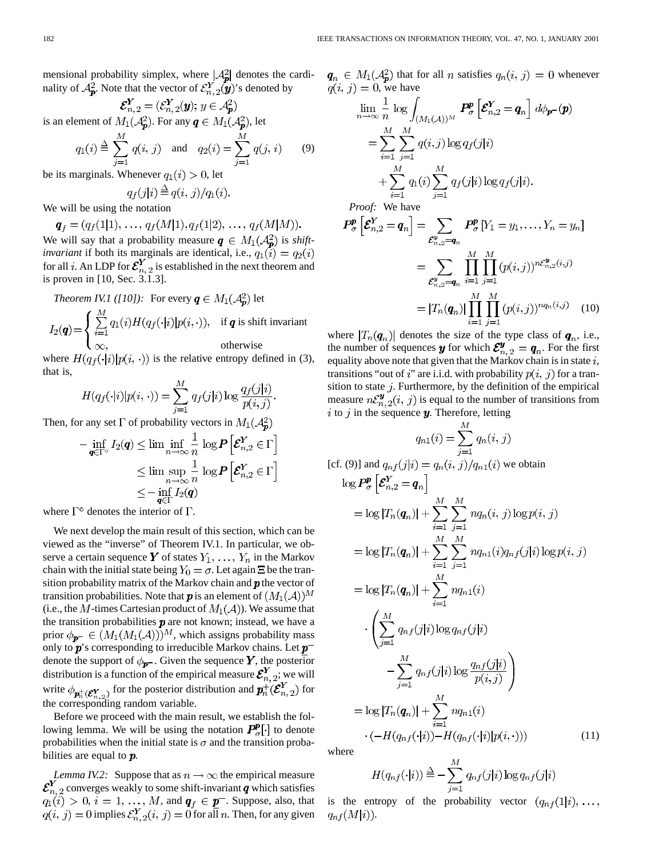mensional probability simplex, where  $\left|\mathcal{A}_{p}^{2}\right|$  denotes the cardinality of  $\mathcal{A}_{p}^2$ . Note that the vector of  $\mathcal{E}_{n,2}^{\mathbf{Y}}(\mathbf{y})$ 's denoted by

$$
\mathcal{E}_{n,2}^Y = (\mathcal{E}_{n,2}^Y(y); y \in \mathcal{A}_{\mathbf{p}}^2)
$$
  
is an element of  $M_1(\mathcal{A}_{\mathbf{p}}^2)$ . For any  $\mathbf{q} \in M_1(\mathcal{A}_{\mathbf{p}}^2)$ , let

$$
q_1(i) \stackrel{\Delta}{=} \sum_{j=1}^M q(i, j)
$$
 and  $q_2(i) = \sum_{j=1}^M q(j, i)$  (9)

be its marginals. Whenever  $q_1(i) > 0$ , let

$$
q_f(j|i) \stackrel{\Delta}{=} q(i,j)/q_1(i).
$$

We will be using the notation

 $q_f = (q_f(1|1), \ldots, q_f(M|1), q_f(1|2), \ldots, q_f(M|M)).$ We will say that a probability measure  $\boldsymbol{q} \in M_1(\mathcal{A}_p^2)$  is *shiftinvariant* if both its marginals are identical, i.e., for all i. An LDP for  $\mathcal{E}_{n,2}^r$  is established in the next theorem and is proven in [10, Sec. 3.1.3].

*Theorem IV.1 ([10]):* For every  $q \in M_1(\mathcal{A}_n^2)$  let  $I_2(\boldsymbol{q}) = \begin{cases} \sum_{i=1}^{M} q_1(i) H(q_f(\cdot|i)|p(i,\cdot)), & \text{if } \boldsymbol{q} \text{ is shift invariant} \\ \sum_{i=1}^{M} q_i(i) H(q_i(\cdot|i)|p(i,\cdot)). & \text{otherwise} \end{cases}$ otherwise

where  $H(q_f(\cdot|i)|p(i, \cdot))$  is the relative entropy defined in (3), that is,

$$
H(q_f(\cdot|i)|p(i,\cdot)) = \sum_{j=1}^{M} q_f(j|i) \log \frac{q_f(j|i)}{p(i,j)}
$$

Then, for any set  $\Gamma$  of probability vectors in  $M_1(\mathcal{A}_p^2)$ 

$$
- \inf_{\boldsymbol{q} \in \Gamma^{\circ}} I_2(\boldsymbol{q}) \le \lim \inf_{n \to \infty} \frac{1}{n} \log \boldsymbol{P} \left[ \boldsymbol{\mathcal{E}}_{n,2}^{\boldsymbol{Y}} \in \Gamma \right] \\ \le \lim \sup_{n \to \infty} \frac{1}{n} \log \boldsymbol{P} \left[ \boldsymbol{\mathcal{E}}_{n,2}^{\boldsymbol{Y}} \in \Gamma \right] \\ \le - \inf_{\boldsymbol{q} \in \Gamma} I_2(\boldsymbol{q})
$$

where  $\Gamma^{\circ}$  denotes the interior of  $\Gamma$ .

We next develop the main result of this section, which can be viewed as the "inverse" of Theorem IV.1. In particular, we observe a certain sequence Y of states  $Y_1, \ldots, Y_n$  in the Markov chain with the initial state being  $Y_0 = \sigma$ . Let again  $\Xi$  be the transition probability matrix of the Markov chain and  $p$  the vector of transition probabilities. Note that **p** is an element of  $(M_1(\mathcal{A}))^M$ (i.e., the M-times Cartesian product of  $M_1(\mathcal{A})$ ). We assume that the transition probabilities  $\boldsymbol{p}$  are not known; instead, we have a prior  $\phi_{\mathbf{p}^-} \in (M_1(M_1(\mathcal{A})))^M$ , which assigns probability mass only to  $p$ 's corresponding to irreducible Markov chains. Let  $p^$ denote the support of  $\phi_{p}$ . Given the sequence Y, the posterior distribution is a function of the empirical measure  $\mathcal{E}_{n,2}^{\mathbf{Y}}$ ; we will write  $\phi_{\mathbf{p}_n^+(\mathcal{E}_{n,2}^Y)}$  for the posterior distribution and  $\mathbf{p}_n^+(\mathcal{E}_{n,2}^Y)$  for the corresponding random variable.

Before we proceed with the main result, we establish the following lemma. We will be using the notation  $P_{\sigma}^{\mathbf{P}}[\cdot]$  to denote probabilities when the initial state is  $\sigma$  and the transition probabilities are equal to  $p$ .

*Lemma IV.2:* Suppose that as  $n \to \infty$  the empirical measure  $\mathcal{E}_{n,2}^Y$  converges weakly to some shift-invariant  $q$  which satisfies  $i, i = 1, \ldots, M$ , and  $q_f \in p^-$ . Suppose, also, that implies  $\mathcal{E}_{n,2}^{\mathbf{Y}}(i, j) = 0$  for all n. Then, for any given

that for all *n* satisfies  $q_n(i, j) = 0$  whenever , we have

$$
\lim_{n \to \infty} \frac{1}{n} \log \int_{(M_1(\mathcal{A}))^M} P_{\sigma}^{\mathbf{p}} \left[ \mathcal{E}_{n,2}^{\mathbf{Y}} = \mathbf{q}_n \right] d\phi_{\mathbf{p}}(\mathbf{p})
$$
  
\n
$$
= \sum_{i=1}^{M} \sum_{j=1}^{M} q(i,j) \log q_f(j|i)
$$
  
\n
$$
+ \sum_{i=1}^{M} q_1(i) \sum_{j=1}^{M} q_f(j|i) \log q_f(j|i).
$$

*Proof:* We have

$$
P_{\sigma}^{p}\left[\mathcal{E}_{n,2}^{Y}=\boldsymbol{q}_{n}\right]=\sum_{\mathcal{E}_{n,2}^{y}=\boldsymbol{q}_{n}}P_{\sigma}^{p}[Y_{1}=y_{1},\ldots,Y_{n}=y_{n}]
$$

$$
=\sum_{\mathcal{E}_{n,2}^{y}=\boldsymbol{q}_{n}}\prod_{i=1}^{M}\prod_{j=1}^{M}(p(i,j))^{n\mathcal{E}_{n,2}^{y}(i,j)}
$$

$$
=|T_{n}(\boldsymbol{q}_{n})|\prod_{i=1}^{M}\prod_{j=1}^{M}(p(i,j))^{nq_{n}(i,j)} \quad (10)
$$

where  $|T_n(\boldsymbol{q}_n)|$  denotes the size of the type class of  $\boldsymbol{q}_n$ , i.e., the number of sequences **y** for which  $\mathcal{E}_{n}^{\mathbf{y}} = \mathbf{q}_n$ . For the first equality above note that given that the Markov chain is in state  $i$ , transitions "out of i" are i.i.d. with probability  $p(i, j)$  for a transition to state  $j$ . Furthermore, by the definition of the empirical measure  $n\mathcal{E}_{n,2}^{\mathbf{y}}(i, j)$  is equal to the number of transitions from  $i$  to  $j$  in the sequence  $y$ . Therefore, letting

$$
q_{n1}(i) = \sum_{j=1}^{M} q_n(i, j)
$$

[cf. (9)] and 
$$
q_{nf}(j|i) = q_n(i, j)/q_{n1}(i)
$$
 we obtain  
\n
$$
\log P_{\sigma}^{p} \left[ \mathcal{E}_{n,2}^{Y} = \mathbf{q}_{n} \right]
$$
\n
$$
= \log |T_n(\mathbf{q}_n)| + \sum_{i=1}^{M} \sum_{j=1}^{M} n q_n(i, j) \log p(i, j)
$$
\n
$$
= \log |T_n(\mathbf{q}_n)| + \sum_{i=1}^{M} \sum_{j=1}^{M} n q_{n1}(i) q_{nf}(j|i) \log p(i, j)
$$
\n
$$
= \log |T_n(\mathbf{q}_n)| + \sum_{i=1}^{M} n q_{n1}(i)
$$
\n
$$
\cdot \left( \sum_{j=1}^{M} q_{nf}(j|i) \log q_{nf}(j|i) - \sum_{j=1}^{M} q_{nf}(j|i) \log \frac{q_{nf}(j|i)}{p(i,j)} \right)
$$
\n
$$
= \log |T_n(\mathbf{q}_n)| + \sum_{i=1}^{M} n q_{n1}(i)
$$
\n
$$
\cdot (-H(q_{nf}(\cdot|i)) - H(q_{nf}(\cdot|i)|p(i, \cdot))) \qquad (11)
$$

where

$$
H(q_{nf}(\cdot|i)) \stackrel{\Delta}{=} -\sum_{j=1}^{M} q_{nf}(j|i) \log q_{nf}(j|i)
$$

is the entropy of the probability vector  $(q_{nf}(1|i), \ldots,$  $q_{nf}(M|i)$ ).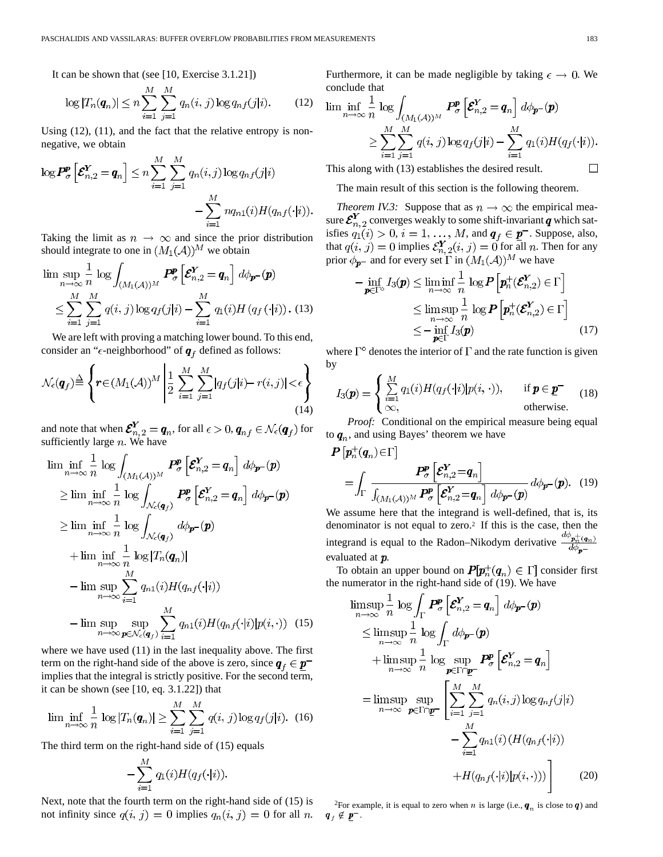It can be shown that (see [10, Exercise 3.1.21])

$$
\log |T_n(\mathbf{q}_n)| \le n \sum_{i=1}^M \sum_{j=1}^M q_n(i,j) \log q_{nf}(j|i). \tag{12}
$$

Using (12), (11), and the fact that the relative entropy is nonnegative, we obtain

$$
\log \boldsymbol{P}_{\sigma}^{\boldsymbol{p}} \left[ \boldsymbol{\mathcal{E}}_{n,2}^{\boldsymbol{Y}} = \boldsymbol{q}_n \right] \leq n \sum_{i=1}^{M} \sum_{j=1}^{M} q_n(i,j) \log q_{nf}(j|i) - \sum_{i=1}^{M} n q_{n1}(i) H(q_{nf}(\cdot|i)).
$$

Taking the limit as  $n \to \infty$  and since the prior distribution should integrate to one in  $(M_1(\mathcal{A}))^M$  we obtain

$$
\limsup_{n \to \infty} \frac{1}{n} \log \int_{(M_1(\mathcal{A}))^M} \mathbf{P}_{\sigma}^{\mathbf{P}} \left[ \mathbf{\mathcal{E}}_{n,2}^{\mathbf{Y}} = \mathbf{q}_n \right] d\phi_{\mathbf{P}}(\mathbf{p})
$$
\n
$$
\leq \sum_{i=1}^M \sum_{j=1}^M q(i,j) \log q_f(j|i) - \sum_{i=1}^M q_1(i) H(q_f(\cdot|i)). \tag{13}
$$

We are left with proving a matching lower bound. To this end, consider an " $\epsilon$ -neighborhood" of  $q_f$  defined as follows:

$$
\mathcal{N}_{\epsilon}(\boldsymbol{q}_f) \triangleq \left\{ \boldsymbol{r} \in (M_1(\mathcal{A}))^M \middle| \frac{1}{2} \sum_{i=1}^M \sum_{j=1}^M |q_f(j|i) - \boldsymbol{r}(i,j)| < \epsilon \right\} \tag{14}
$$

and note that when  $\pmb{\mathcal{E}}_{n,\,2}^{\pmb{Y}}=\pmb{q}_n,$  for all  $\epsilon>0,$   $\pmb{q}_{nf}\in\mathcal{N}_{\epsilon}(\pmb{q}_f)$  for sufficiently large  $n$ . We have

$$
\liminf_{n \to \infty} \frac{1}{n} \log \int_{(M_1(\mathcal{A}))^M} \mathbf{P}_{\sigma}^{\mathbf{P}} \left[ \mathbf{E}_{n,2}^{\mathbf{Y}} = \mathbf{q}_n \right] d\phi_{\mathbf{P}}(\mathbf{p})
$$
\n
$$
\geq \liminf_{n \to \infty} \frac{1}{n} \log \int_{\mathcal{N}_{c}(\mathbf{q}_f)} \mathbf{P}_{\sigma}^{\mathbf{P}} \left[ \mathbf{E}_{n,2}^{\mathbf{Y}} = \mathbf{q}_n \right] d\phi_{\mathbf{P}}(\mathbf{p})
$$
\n
$$
\geq \liminf_{n \to \infty} \frac{1}{n} \log \int_{\mathcal{N}_{c}(\mathbf{q}_f)} d\phi_{\mathbf{P}}(\mathbf{p})
$$
\n
$$
+ \liminf_{n \to \infty} \frac{1}{n} \log |T_n(\mathbf{q}_n)|
$$
\n
$$
- \limsup_{n \to \infty} \sum_{i=1}^M q_{n1}(i) H(q_{nf}(\cdot|i))
$$
\n
$$
- \limsup_{n \to \infty} \sup_{\mathbf{P} \in \mathcal{N}_{c}(\mathbf{q}_f)} \sum_{i=1}^M q_{n1}(i) H(q_{nf}(\cdot|i)|p(i, \cdot)) \quad (15)
$$

where we have used  $(11)$  in the last inequality above. The first term on the right-hand side of the above is zero, since  $q_f \in p^$ implies that the integral is strictly positive. For the second term, it can be shown (see [10, eq. 3.1.22]) that

$$
\lim_{n \to \infty} \frac{1}{n} \log |T_n(q_n)| \ge \sum_{i=1}^M \sum_{j=1}^M q(i, j) \log q_f(j|i). \tag{16}
$$

The third term on the right-hand side of (15) equals

$$
-\sum_{i=1}^M q_1(i)H(q_f(\cdot|i)).
$$

Next, note that the fourth term on the right-hand side of (15) is not infinity since  $q(i, j) = 0$  implies  $q_n(i, j) = 0$  for all n.

Furthermore, it can be made negligible by taking  $\epsilon \to 0$ . We conclude that

$$
\liminf_{n \to \infty} \frac{1}{n} \log \int_{(M_1(\mathcal{A}))^M} \mathbf{P}_{\sigma}^{\mathbf{p}} \left[ \mathbf{\mathcal{E}}_{n,2}^{\mathbf{Y}} = \mathbf{q}_n \right] d\phi_{\mathbf{p}}(\mathbf{p})
$$
\n
$$
\geq \sum_{i=1}^{M} \sum_{j=1}^{M} q(i,j) \log q_f(j|i) - \sum_{i=1}^{M} q_1(i) H(q_f(\cdot|i)).
$$
\nThis along with (13) establishes the desired result.

This along with (13) establishes the desired result.

The main result of this section is the following theorem.

*Theorem IV.3:* Suppose that as  $n \to \infty$  the empirical measure  $\mathcal{E}_{n,2}^{Y}$  converges weakly to some shift-invariant  $q$  which satisfies  $q_1(i) > 0$ ,  $i = 1, ..., M$ , and  $q_f \in p^-$ . Suppose, also, that  $q(i, j) = 0$  implies  $\mathcal{E}_{n, 2}^{\mathbf{Y}}(i, j) = 0$  for all n. Then for any prior  $\phi_{\mathbf{p}}$  and for every set  $\Gamma$  in  $(M_1(\mathcal{A}))^M$  we have

$$
- \inf_{\boldsymbol{p}\in\Gamma^{\circ}} I_3(\boldsymbol{p}) \leq \liminf_{n\to\infty} \frac{1}{n} \log \boldsymbol{P} \left[ \boldsymbol{p}_n^+(\boldsymbol{\mathcal{E}}_{n,2}^{\boldsymbol{Y}}) \in \Gamma \right] \leq \limsup_{n\to\infty} \frac{1}{n} \log \boldsymbol{P} \left[ \boldsymbol{p}_n^+(\boldsymbol{\mathcal{E}}_{n,2}^{\boldsymbol{Y}}) \in \Gamma \right] \leq - \inf_{\boldsymbol{p}\in\Gamma} I_3(\boldsymbol{p}) \tag{17}
$$

where  $\Gamma^{\circ}$  denotes the interior of  $\Gamma$  and the rate function is given by

$$
I_3(\mathbf{p}) = \begin{cases} \sum_{i=1}^{M} q_1(i) H(q_f(\cdot|i)|p(i,\cdot)), & \text{if } \mathbf{p} \in \mathbf{p}^-\\ \infty, & \text{otherwise.} \end{cases}
$$
(18)

*Proof:* Conditional on the empirical measure being equal to  $q_n$ , and using Bayes' theorem we have

$$
P\left[\boldsymbol{p}_n^+(q_n) \in \Gamma\right] = \int_{\Gamma} \frac{\boldsymbol{P}_{\sigma}^{\boldsymbol{p}}\left[\boldsymbol{\mathcal{E}}_{n,2}^{\boldsymbol{Y}} = \boldsymbol{q}_n\right]}{\int_{\left(M_1(\mathcal{A})\right)^M} \boldsymbol{P}_{\sigma}^{\boldsymbol{p}}\left[\boldsymbol{\mathcal{E}}_{n,2}^{\boldsymbol{Y}} = \boldsymbol{q}_n\right] d\phi_{\boldsymbol{p}}(\boldsymbol{p})} d\phi_{\boldsymbol{p}}(\boldsymbol{p}). \quad (19)
$$

We assume here that the integrand is well-defined, that is, its denominator is not equal to zero.<sup>2</sup> If this is the case, then the integrand is equal to the Radon–Nikodym derivative  $\frac{d\phi_{\mathbf{p}_n^+(q_n)}}{d\phi_{\mathbf{p}^-}}$ evaluated at  $\boldsymbol{p}$ .

To obtain an upper bound on  $P[p_n^+(q_n) \in \Gamma]$  consider first the numerator in the right-hand side of (19). We have

$$
\limsup_{n \to \infty} \frac{1}{n} \log \int_{\Gamma} P_{\sigma}^{p} \left[ \mathcal{E}_{n,2}^{Y} = \mathbf{q}_{n} \right] d\phi_{\mathbf{p}}(\mathbf{p})
$$
\n
$$
\leq \limsup_{n \to \infty} \frac{1}{n} \log \int_{\Gamma} d\phi_{\mathbf{p}}(\mathbf{p})
$$
\n
$$
+ \limsup_{n \to \infty} \frac{1}{n} \log \sup_{\mathbf{p} \in \Gamma(\mathbf{p})} P_{\sigma}^{p} \left[ \mathcal{E}_{n,2}^{Y} = \mathbf{q}_{n} \right]
$$
\n
$$
= \limsup_{n \to \infty} \sup_{\mathbf{p} \in \Gamma(\mathbf{p})} \left[ \sum_{i=1}^{M} \sum_{j=1}^{M} q_{n}(i,j) \log q_{nf}(j|i) - \sum_{i=1}^{M} q_{n1}(i) \left( H(q_{nf}(\cdot|i)) - \sum_{i=1}^{M} q_{n1}(i) \left( H(q_{nf}(\cdot|i))\right) \right) + H(q_{nf}(\cdot|i)|p(i, \cdot)) \right]
$$
\n(20)

<sup>2</sup>For example, it is equal to zero when *n* is large (i.e.,  $q_n$  is close to *q*) and  $q_f \not\in \underline{p}^-$ .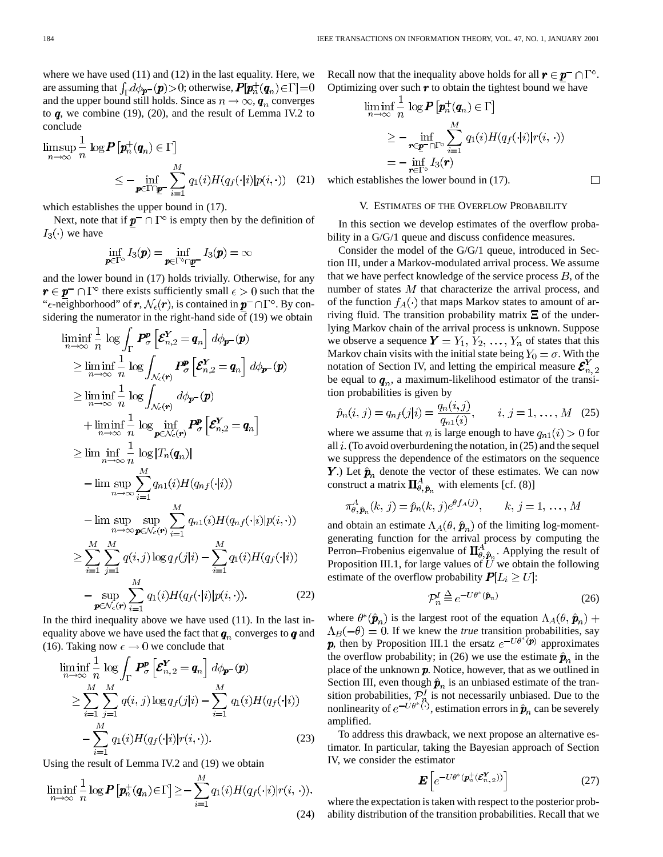where we have used (11) and (12) in the last equality. Here, we are assuming that  $\int_{\Gamma} d\phi_{\mathbf{p}^{-}}(\mathbf{p}) > 0$ ; otherwise,  $\mathbf{P}[\mathbf{p}_n^{+}(\mathbf{q}_n) \in \Gamma] = 0$ and the upper bound still holds. Since as  $n \to \infty$ ,  $q_n$  converges to  $q$ , we combine (19), (20), and the result of Lemma IV.2 to conclude

$$
\limsup_{n \to \infty} \frac{1}{n} \log \mathbf{P} \left[ \mathbf{p}_n^+ (\mathbf{q}_n) \in \Gamma \right]
$$
\n
$$
\leq - \inf_{\mathbf{p} \in \Gamma \cap \mathbf{P}^-} \sum_{i=1}^M q_1(i) H(q_f(\cdot|i) | p(i, \cdot)) \quad (21)
$$

which establishes the upper bound in (17).

Next, note that if  $p^- \cap \Gamma^{\circ}$  is empty then by the definition of  $I_3(\cdot)$  we have

$$
\inf_{\mathbf{p}\in\Gamma^{\circ}}I_3(\mathbf{p})=\inf_{\mathbf{p}\in\Gamma^{\circ}\cap\mathbf{p}^-}I_3(\mathbf{p})=\infty
$$

and the lower bound in (17) holds trivially. Otherwise, for any  $r \in p^- \cap \Gamma^{\circ}$  there exists sufficiently small  $\epsilon > 0$  such that the " $\epsilon$ -neighborhood" of  $r, \mathcal{N}_{\epsilon}(r)$ , is contained in  $p^{-} \cap \Gamma^{\circ}$ . By considering the numerator in the right-hand side of (19) we obtain

$$
\liminf_{n\to\infty} \frac{1}{n} \log \int_{\Gamma} P_{\sigma}^{p} \left[ \mathcal{E}_{n,2}^{Y} = q_{n} \right] d\phi_{p^{-}}(p)
$$
\n
$$
\geq \liminf_{n\to\infty} \frac{1}{n} \log \int_{\mathcal{N}_{c}(r)} P_{\sigma}^{p} \left[ \mathcal{E}_{n,2}^{Y} = q_{n} \right] d\phi_{p^{-}}(p)
$$
\n
$$
\geq \liminf_{n\to\infty} \frac{1}{n} \log \int_{\mathcal{N}_{c}(r)} d\phi_{p^{-}}(p)
$$
\n
$$
+ \liminf_{n\to\infty} \frac{1}{n} \log \inf_{p\in\mathcal{N}_{c}(r)} P_{\sigma}^{p} \left[ \mathcal{E}_{n,2}^{Y} = q_{n} \right]
$$
\n
$$
\geq \liminf_{n\to\infty} \frac{1}{n} \log |T_{n}(q_{n})|
$$
\n
$$
- \limsup_{n\to\infty} \sum_{i=1}^{M} q_{n1}(i) H(q_{nf}(\cdot|i))
$$
\n
$$
- \limsup_{n\to\infty} \sup_{p\in\mathcal{N}_{c}(r)} \sum_{i=1}^{M} q_{n1}(i) H(q_{nf}(\cdot|i)|p(i,\cdot))
$$
\n
$$
\geq \sum_{i=1}^{M} \sum_{j=1}^{M} q(i,j) \log q_{f}(j|i) - \sum_{i=1}^{M} q_{1}(i) H(q_{f}(\cdot|i))
$$
\n
$$
- \sup_{p\in\mathcal{N}_{c}(r)} \sum_{i=1}^{M} q_{1}(i) H(q_{f}(\cdot|i)|p(i,\cdot)). \tag{22}
$$

In the third inequality above we have used (11). In the last inequality above we have used the fact that  $q_n$  converges to  $q$  and (16). Taking now  $\epsilon \to 0$  we conclude that

$$
\liminf_{n \to \infty} \frac{1}{n} \log \int_{\Gamma} P_{\sigma}^{\mathbf{p}} \left[ \mathbf{\mathcal{E}}_{n,2}^{Y} = \mathbf{q}_{n} \right] d\phi_{\mathbf{p}^{-}}(\mathbf{p})
$$
\n
$$
\geq \sum_{i=1}^{M} \sum_{j=1}^{M} q(i,j) \log q_{f}(j|i) - \sum_{i=1}^{M} q_{1}(i) H(q_{f}(\cdot|i))
$$
\n
$$
- \sum_{i=1}^{M} q_{1}(i) H(q_{f}(\cdot|i)|r(i,\cdot)). \tag{23}
$$

Using the result of Lemma IV.2 and (19) we obtain

$$
\liminf_{n \to \infty} \frac{1}{n} \log P\left[\mathbf{p}_n^+(q_n) \in \Gamma\right] \ge -\sum_{i=1}^M q_1(i) H(q_f(\cdot|i)|r(i, \cdot)).
$$
\n(24)

Recall now that the inequality above holds for all  $r \in p^- \cap \Gamma^{\circ}$ . Optimizing over such  $r$  to obtain the tightest bound we have

$$
\liminf_{n \to \infty} \frac{1}{n} \log P \left[ \mathbf{p}_n^+(\mathbf{q}_n) \in \Gamma \right] \n\geq - \inf_{\mathbf{r} \in \mathbf{P}^{-} \cap \Gamma^{\circ}} \sum_{i=1}^M q_1(i) H(q_f(\cdot|i) | r(i, \cdot)) \n= - \inf_{\mathbf{r} \in \Gamma^{\circ}} I_3(\mathbf{r})
$$

 $\Box$ 

which establishes the lower bound in (17).

#### V. ESTIMATES OF THE OVERFLOW PROBABILITY

In this section we develop estimates of the overflow probability in a G/G/1 queue and discuss confidence measures.

Consider the model of the G/G/1 queue, introduced in Section III, under a Markov-modulated arrival process. We assume that we have perfect knowledge of the service process  $B$ , of the number of states  $M$  that characterize the arrival process, and of the function  $f_A(\cdot)$  that maps Markov states to amount of arriving fluid. The transition probability matrix  $\Xi$  of the underlying Markov chain of the arrival process is unknown. Suppose we observe a sequence  $\mathbf{Y} = Y_1, Y_2, \dots, Y_n$  of states that this Markov chain visits with the initial state being  $Y_0 = \sigma$ . With the notation of Section IV, and letting the empirical measure  $\mathcal{E}_{n,2}^{\gamma}$ be equal to  $q_n$ , a maximum-likelihood estimator of the transition probabilities is given by

$$
\hat{p}_n(i, j) = q_{nf}(j|i) = \frac{q_n(i, j)}{q_{n1}(i)}, \qquad i, j = 1, ..., M \quad (25)
$$

where we assume that *n* is large enough to have  $q_{n1}(i) > 0$  for all  $i$ . (To avoid overburdening the notation, in (25) and the sequel we suppress the dependence of the estimators on the sequence Y.) Let  $\hat{\boldsymbol{p}}_n$  denote the vector of these estimates. We can now construct a matrix  $\mathbf{\Pi}_{\theta, \hat{\mathbf{p}}_n}^A$  with elements [cf. (8)]

$$
\pi_{\theta,\hat{\mathbf{p}}_n}^A(k,j) = \hat{p}_n(k,j)e^{\theta f_A(j)}, \qquad k, j = 1, \dots, M
$$

and obtain an estimate  $\Lambda_A(\theta, \hat{\mathbf{p}}_n)$  of the limiting log-momentgenerating function for the arrival process by computing the Perron–Frobenius eigenvalue of  $\prod_{\theta}^{A}$  . Applying the result of Proposition III.1, for large values of  $U$  we obtain the following estimate of the overflow probability  $P[L_i \geq U]$ :

$$
\mathcal{P}_n^I \stackrel{\Delta}{=} e^{-U\theta^*(\hat{\mathbf{p}}_n)}\tag{26}
$$

where  $\theta^*(\hat{\mathbf{p}}_n)$  is the largest root of the equation  $\Lambda_A(\theta, \hat{\mathbf{p}}_n)$  +  $\Lambda_B(-\theta) = 0$ . If we knew the *true* transition probabilities, say **p**, then by Proposition III.1 the ersatz  $e^{-U\theta^*}$  **p** approximates the overflow probability; in (26) we use the estimate  $\hat{\boldsymbol{p}}_n$  in the place of the unknown  $\boldsymbol{p}$ . Notice, however, that as we outlined in Section III, even though  $\hat{p}_n$  is an unbiased estimate of the transition probabilities,  $\mathcal{P}_n^I$  is not necessarily unbiased. Due to the nonlinearity of  $e^{-U\theta^*(\cdot)}$ , estimation errors in  $\hat{\mathbf{p}}_n$  can be severely amplified.

To address this drawback, we next propose an alternative estimator. In particular, taking the Bayesian approach of Section IV, we consider the estimator

$$
\boldsymbol{E}\left[e^{-U\theta^*(\boldsymbol{p}_n^+(\boldsymbol{\mathcal{E}}_{n,2}^{\boldsymbol{Y}}))}\right]
$$
 (27)

where the expectation is taken with respect to the posterior probability distribution of the transition probabilities. Recall that we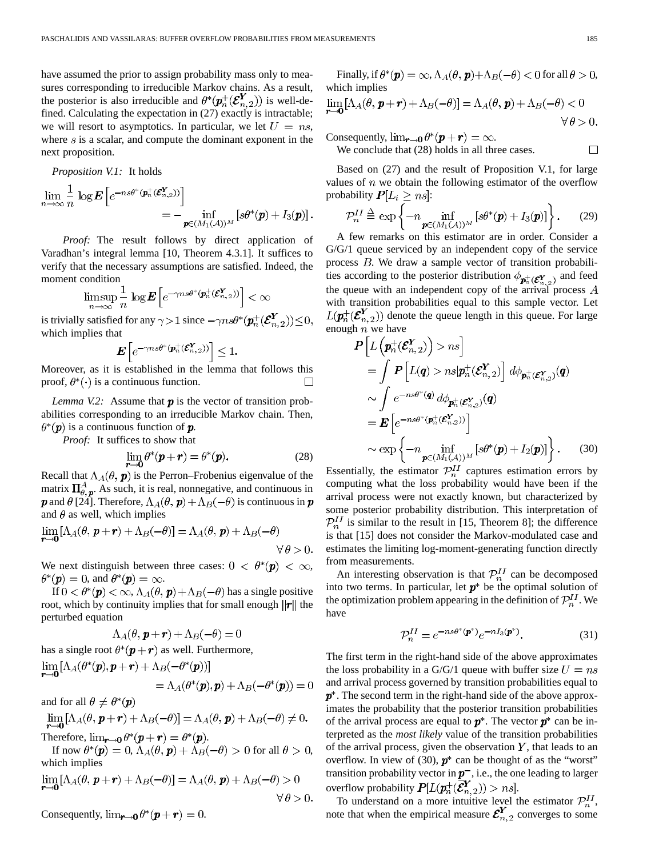have assumed the prior to assign probability mass only to measures corresponding to irreducible Markov chains. As a result, the posterior is also irreducible and  $\theta^*(p_n^+(\mathcal{E}_{n,2}^Y))$  is well-defined. Calculating the expectation in (27) exactly is intractable; we will resort to asymptotics. In particular, we let  $U = ns$ , where  $s$  is a scalar, and compute the dominant exponent in the next proposition.

*Proposition V.I:* It holds  
\n
$$
\lim_{n \to \infty} \frac{1}{n} \log \mathbf{E} \left[ e^{-ns\theta^* (\mathbf{p}_n^+(\mathbf{\mathcal{E}}_{n,2}^{\mathbf{Y}}))} \right]
$$
\n
$$
= - \inf_{\mathbf{p} \in (M_1(\mathcal{A}))^M} \left[ s\theta^*(\mathbf{p}) + I_3(\mathbf{p}) \right].
$$

*Proof:* The result follows by direct application of Varadhan's integral lemma [10, Theorem 4.3.1]. It suffices to verify that the necessary assumptions are satisfied. Indeed, the moment condition

$$
\limsup_{n\to\infty}\frac{1}{n}\,\log\boldsymbol{E}\left[e^{-\gamma ns\theta^* (\boldsymbol{p}^+_n(\boldsymbol{\mathcal{E}}^\boldsymbol{Y}_{n,2}))}\right]<\infty
$$

is trivially satisfied for any  $\gamma\!>\!1$  since  $-\gamma n s\theta^*(\pmb{p}_n^+(\pmb{\mathcal{E}}_{n,\,2}^\mathbf{Y}))\!\leq\!0,$ which implies that

$$
\mathbf{E}\left[e^{-\gamma ns\theta^* (\boldsymbol{p}_n^+(\boldsymbol{\mathcal{E}}_{n,2}^{\boldsymbol{Y}}))}\right] \leq 1.
$$

Moreover, as it is established in the lemma that follows this proof,  $\theta^*(\cdot)$  is a continuous function.

*Lemma V.2:* Assume that  $\boldsymbol{p}$  is the vector of transition probabilities corresponding to an irreducible Markov chain. Then,  $\theta^*(p)$  is a continuous function of **p**.

*Proof:* It suffices to show that

$$
\lim_{r \to 0} \theta^*(p+r) = \theta^*(p). \tag{28}
$$

Recall that  $\Lambda_A(\theta, \mathbf{p})$  is the Perron–Frobenius eigenvalue of the matrix  $\mathbf{\Pi}_{\theta,\mathbf{p}}^A$ . As such, it is real, nonnegative, and continuous in **p** and  $\theta$  [24]. Therefore,  $\Lambda_A(\theta, \mathbf{p}) + \Lambda_B(-\theta)$  is continuous in **p** and  $\theta$  as well, which implies

$$
\lim_{r \to 0} [\Lambda_A(\theta, \mathbf{p} + \mathbf{r}) + \Lambda_B(-\theta)] = \Lambda_A(\theta, \mathbf{p}) + \Lambda_B(-\theta)
$$
  

$$
\forall \theta > 0
$$

We next distinguish between three cases:  $0 < \theta^*(p) < \infty$ ,  $\theta^*(p) = 0$ , and  $\theta^*(p) = \infty$ .

If  $0 < \theta^*(p) < \infty$ ,  $\Lambda_A(\theta, p) + \Lambda_B(-\theta)$  has a single positive root, which by continuity implies that for small enough  $||\mathbf{r}||$  the perturbed equation

$$
\Lambda_A(\theta,\, \pmb{p}+\pmb{r})+\Lambda_B(-\theta)=0
$$

has a single root  $\theta^*(p+r)$  as well. Furthermore,

$$
\lim_{r \to 0} [\Lambda_A(\theta^*(p), p + r) + \Lambda_B(-\theta^*(p))]
$$
  
=  $\Lambda_A(\theta^*(p), p) + \Lambda_B(-\theta^*(p)) = 0$ 

and for all  $\theta \neq \theta^*(p)$ 

$$
\lim_{r \to 0} [\Lambda_A(\theta, \mathbf{p} + r) + \Lambda_B(-\theta)] = \Lambda_A(\theta, \mathbf{p}) + \Lambda_B(-\theta) \neq 0.
$$
\nTherefore,  $\lim_{r \to \infty} e^{\theta^*(\mathbf{p} + \mathbf{r})} = e^{\theta^*(\mathbf{p})}$ 

Therefore,  $\lim_{r\to 0} \theta^*(p+r) = \theta^*(p)$ .

If now 
$$
\theta^*(p) = 0
$$
,  $\Lambda_A(\theta, p) + \Lambda_B(-\theta) > 0$  for all  $\theta > 0$ , which implies

$$
\lim_{r \to 0} [\Lambda_A(\theta, \mathbf{p} + r) + \Lambda_B(-\theta)] = \Lambda_A(\theta, \mathbf{p}) + \Lambda_B(-\theta) > 0
$$
  
 $\forall \theta > 0.$ 

Consequently,  $\lim_{r\to 0} \theta^*(p+r) = 0$ .

Finally, if  $\theta^*(p) = \infty$ ,  $\Lambda_A(\theta, p) + \Lambda_B(-\theta) < 0$  for all  $\theta > 0$ , which implies

$$
\lim_{\boldsymbol{\gamma}\to\mathbf{0}}\left[\Lambda_A(\theta,\,\boldsymbol{p}+\boldsymbol{r})+\Lambda_B(-\theta)\right]=\Lambda_A(\theta,\,\boldsymbol{p})+\Lambda_B(-\theta)<0 \qquad \forall\,\theta>0
$$

Consequently,  $\lim_{r\to 0} \theta^*(p+r) = \infty$ .

We conclude that  $(28)$  holds in all three cases.

Based on (27) and the result of Proposition V.1, for large values of  $n$  we obtain the following estimator of the overflow probability  $P[L_i \geq ns]$ :

$$
\mathcal{P}_n^{II} \stackrel{\Delta}{=} \exp\left\{-n \inf_{\boldsymbol{p} \in (M_1(\mathcal{A}))^M} \left[s\theta^*(\boldsymbol{p}) + I_3(\boldsymbol{p})\right]\right\}.
$$
 (29)

A few remarks on this estimator are in order. Consider a G/G/1 queue serviced by an independent copy of the service process  $B$ . We draw a sample vector of transition probabilities according to the posterior distribution  $\phi_{p_n^+({\cal E}^{\bf Y}_{n-2})}$  and feed the queue with an independent copy of the arrival process  $A$ with transition probabilities equal to this sample vector. Let  $L(\boldsymbol{p}_n^+(\boldsymbol{\mathcal{E}}_{n,2}^{\boldsymbol{Y}}))$  denote the queue length in this queue. For large enough  $n$  we have

$$
\begin{split} \boldsymbol{P} \Big[ L \left( \boldsymbol{p}_n^+ (\boldsymbol{\mathcal{E}}_{n,2}^{\boldsymbol{Y}}) \right) > n \boldsymbol{s} \Big] \\ &= \int \boldsymbol{P} \Big[ L(\boldsymbol{q}) > n \boldsymbol{s} | \boldsymbol{p}_n^+ (\boldsymbol{\mathcal{E}}_{n,2}^{\boldsymbol{Y}}) \Big] \ d\phi_{\boldsymbol{p}_n^+ (\boldsymbol{\mathcal{E}}_{n,2}^{\boldsymbol{Y}})}(\boldsymbol{q}) \\ &\sim \int e^{-ns\theta^* (\boldsymbol{q})} \ d\phi_{\boldsymbol{p}_n^+ (\boldsymbol{\mathcal{E}}_{n,2}^{\boldsymbol{Y}})}(\boldsymbol{q}) \\ &= \boldsymbol{E} \Big[ e^{-ns\theta^* (\boldsymbol{p}_n^+ (\boldsymbol{\mathcal{E}}_{n,2}^{\boldsymbol{Y}}))} \Big] \\ &\sim \exp \Big\{ -n \inf_{\boldsymbol{p} \in (M_1(\mathcal{A}))^M} \big[ s\theta^* (\boldsymbol{p}) + I_2(\boldsymbol{p}) \big] \Big\} \,. \end{split} \tag{30}
$$

Essentially, the estimator  $\mathcal{P}_n^{II}$  captures estimation errors by computing what the loss probability would have been if the arrival process were not exactly known, but characterized by some posterior probability distribution. This interpretation of  $\mathcal{P}_n^{II}$  is similar to the result in [15, Theorem 8]; the difference is that [15] does not consider the Markov-modulated case and estimates the limiting log-moment-generating function directly from measurements.

An interesting observation is that  $\mathcal{P}_n^{II}$  can be decomposed into two terms. In particular, let  $p^*$  be the optimal solution of the optimization problem appearing in the definition of  $\mathcal{P}_n^{II}$ . We have

$$
\mathcal{P}_n^{II} = e^{-ns\theta^* (\mathbf{p}^*)} e^{-nI_3(\mathbf{p}^*)}.
$$
\n(31)

The first term in the right-hand side of the above approximates the loss probability in a G/G/1 queue with buffer size  $U = ns$ and arrival process governed by transition probabilities equal to  $p^*$ . The second term in the right-hand side of the above approximates the probability that the posterior transition probabilities of the arrival process are equal to  $p^*$ . The vector  $p^*$  can be interpreted as the *most likely* value of the transition probabilities of the arrival process, given the observation  $Y$ , that leads to an overflow. In view of (30),  $p^*$  can be thought of as the "worst" transition probability vector in  $p^-$ , i.e., the one leading to larger overflow probability  $P[L(p_n^+(\mathcal{E}_{n,2}^{\{r\}})) > ns].$ 

To understand on a more intuitive level the estimator  $\mathcal{P}_{n}^{II}$ , note that when the empirical measure  $\mathcal{E}_{n,2}^{Y}$  converges to some

 $\Box$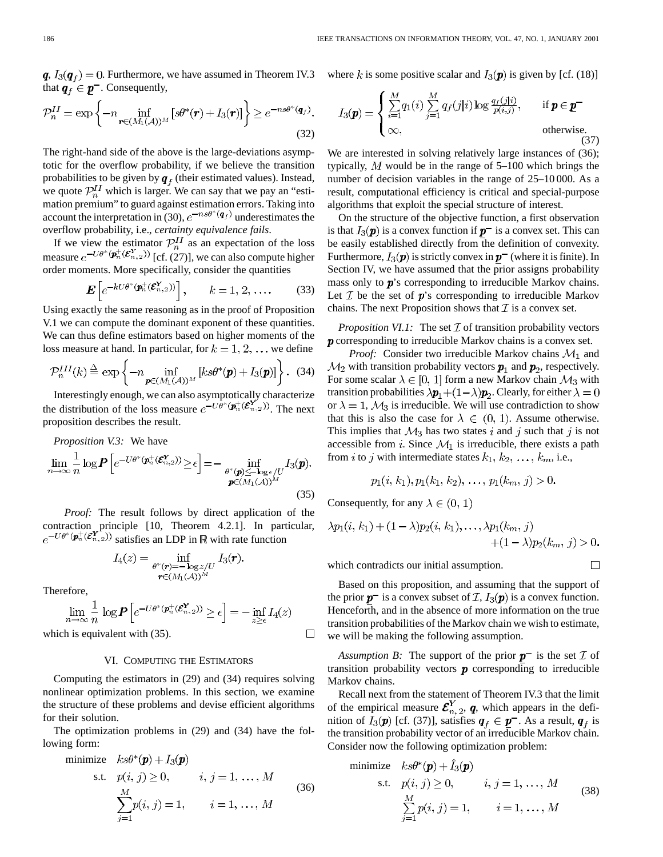,  $I_3(q_f) = 0$ . Furthermore, we have assumed in Theorem IV.3 where k is some positive scalar and  $I_3(p)$  is given by [cf. (18)] that  $q_f \in p^-$ . Consequently,

$$
\mathcal{P}_n^{II} = \exp\left\{-n \inf_{\mathbf{r} \in (M_1(\mathcal{A}))^M} \left[s\theta^*(\mathbf{r}) + I_3(\mathbf{r})\right]\right\} \ge e^{-ns\theta^*(\mathbf{q}_f)}.
$$
\n(32)

The right-hand side of the above is the large-deviations asymptotic for the overflow probability, if we believe the transition probabilities to be given by  $q_f$  (their estimated values). Instead, we quote  $\mathcal{P}_n^H$  which is larger. We can say that we pay an "estimation premium" to guard against estimation errors. Taking into account the interpretation in (30),  $e^{-ns\theta^*(\mathbf{q}_f)}$  underestimates the overflow probability, i.e., *certainty equivalence fails*.

If we view the estimator  $\mathcal{P}_n^{II}$  as an expectation of the loss measure  $e^{-U\theta^*({\bm p}_n^+({\bm {\mathcal E}}_{n,2}^{\bm Y}))}$  [cf. (27)], we can also compute higher order moments. More specifically, consider the quantities

$$
\boldsymbol{E}\left[e^{-kU\theta^* (\boldsymbol{p}_n^+(\boldsymbol{\mathcal{E}}_{n,2}^{\boldsymbol{Y}}))}\right], \qquad k=1, 2, \ldots \qquad (33)
$$

Using exactly the same reasoning as in the proof of Proposition V.1 we can compute the dominant exponent of these quantities. We can thus define estimators based on higher moments of the loss measure at hand. In particular, for  $k = 1, 2, \dots$  we define

$$
\mathcal{P}_n^{III}(k) \stackrel{\Delta}{=} \exp\left\{-n \inf_{\boldsymbol{p} \in (M_1(\mathcal{A}))^M} \left[ks\theta^*(\boldsymbol{p}) + I_3(\boldsymbol{p})\right]\right\}.
$$
 (34)

Interestingly enough, we can also asymptotically characterize the distribution of the loss measure  $e^{-U\theta^*({\bm p}_n^+({\bm \mathcal E}^{\bm Y}_{n,2}))}$ . The next proposition describes the result.

*Proposition V.3:* We have

$$
\lim_{n \to \infty} \frac{1}{n} \log P \left[ e^{-U \theta^* (\mathbf{p}_n^+(\mathbf{\mathcal{E}}_{n,2}^{\mathbf{Y}}))} \ge \epsilon \right] = - \inf_{\substack{\theta^* (\mathbf{p}) \le -\log \epsilon/U \\ \mathbf{p} \in (M_1(\mathcal{A}))^M}} I_3(\mathbf{p}).
$$
\n(35)

*Proof:* The result follows by direct application of the contraction principle [10, Theorem 4.2.1]. In particular,  $e^{-U\theta^*({\bf r}_n^+({\bf \mathcal{E}}^{\bf Y}_{n,2}))}$  satisfies an LDP in  $\mathbb R$  with rate function

$$
I_4(z)=\inf\limits_{\substack{\theta^*(\textbf{r})=-\log z/U\\ \textbf{r}\in (M_1(\mathcal{A}))^M}}I_3(\textbf{r})
$$

Therefore,

$$
\lim_{n \to \infty} \frac{1}{n} \log P \left[ e^{-U \theta^* (\mathbf{p}_n^+ (\mathbf{\mathcal{E}}_{n,2}^{\mathbf{Y}}))} \ge \epsilon \right] = - \inf_{z \ge \epsilon} I_4(z)
$$

which is equivalent with  $(35)$ .

## VI. COMPUTING THE ESTIMATORS

Computing the estimators in (29) and (34) requires solving nonlinear optimization problems. In this section, we examine the structure of these problems and devise efficient algorithms for their solution.

The optimization problems in (29) and (34) have the following form:

minimize 
$$
ks\theta^*(\mathbf{p}) + I_3(\mathbf{p})
$$
  
\ns.t.  $p(i, j) \ge 0$ ,  $i, j = 1, ..., M$   
\n
$$
\sum_{j=1}^{M} p(i, j) = 1, \qquad i = 1, ..., M
$$
\n(36)

$$
I_3(\mathbf{p}) = \begin{cases} \sum_{i=1}^{M} q_1(i) \sum_{j=1}^{M} q_j(j|i) \log \frac{q_j(j|i)}{p(i,j)}, & \text{if } \mathbf{p} \in \mathbf{p}^-\\ \infty, & \text{otherwise.} \end{cases}
$$
(37)

We are interested in solving relatively large instances of  $(36)$ ; typically,  $M$  would be in the range of  $5-100$  which brings the number of decision variables in the range of 25–10000. As a result, computational efficiency is critical and special-purpose algorithms that exploit the special structure of interest.

On the structure of the objective function, a first observation is that  $I_3(p)$  is a convex function if  $p^-$  is a convex set. This can be easily established directly from the definition of convexity. Furthermore,  $I_3(\mathbf{p})$  is strictly convex in  $\mathbf{p}^-$  (where it is finite). In Section IV, we have assumed that the prior assigns probability mass only to  $\mathbf{p}$ 's corresponding to irreducible Markov chains. Let  $\mathcal I$  be the set of  $p$ 's corresponding to irreducible Markov chains. The next Proposition shows that  $\mathcal I$  is a convex set.

*Proposition VI.1:* The set  $I$  of transition probability vectors **p** corresponding to irreducible Markov chains is a convex set.

*Proof:* Consider two irreducible Markov chains  $\mathcal{M}_1$  and  $\mathcal{M}_2$  with transition probability vectors  $p_1$  and  $p_2$ , respectively. For some scalar  $\lambda \in [0, 1]$  form a new Markov chain  $\mathcal{M}_3$  with transition probabilities  $\lambda p_1 + (1 - \lambda)p_2$ . Clearly, for either  $\lambda = 0$ or  $\lambda = 1$ ,  $\mathcal{M}_3$  is irreducible. We will use contradiction to show that this is also the case for  $\lambda \in (0, 1)$ . Assume otherwise. This implies that  $\mathcal{M}_3$  has two states i and j such that j is not accessible from i. Since  $\mathcal{M}_1$  is irreducible, there exists a path from *i* to *j* with intermediate states  $k_1, k_2, \ldots, k_m$ , i.e.,

$$
p_1(i, k_1), p_1(k_1, k_2), \ldots, p_1(k_m, j) > 0.
$$

Consequently, for any  $\lambda \in (0, 1)$ 

 $\Box$ 

$$
\lambda p_1(i, k_1) + (1 - \lambda) p_2(i, k_1), \dots, \lambda p_1(k_m, j) + (1 - \lambda) p_2(k_m, j) > 0.
$$

 $\Box$ 

which contradicts our initial assumption.

Based on this proposition, and assuming that the support of the prior  $p^-$  is a convex subset of  $\mathcal{I}, I_3(p)$  is a convex function. Henceforth, and in the absence of more information on the true transition probabilities of the Markov chain we wish to estimate, we will be making the following assumption.

*Assumption B:* The support of the prior  $p^-$  is the set  $\mathcal I$  of transition probability vectors  $\boldsymbol{p}$  corresponding to irreducible Markov chains.

Recall next from the statement of Theorem IV.3 that the limit of the empirical measure  $\mathcal{E}_{n,2}^{\mathbf{Y}}, \mathbf{q}$ , which appears in the definition of  $I_3(p)$  [cf. (37)], satisfies  $q_f \in p^-$ . As a result,  $q_f$  is the transition probability vector of an irreducible Markov chain. Consider now the following optimization problem:

minimize 
$$
ks\theta^*(\mathbf{p}) + I_3(\mathbf{p})
$$
  
s.t.  $p(i, j) \ge 0$ ,  $i, j = 1, ..., M$   

$$
\sum_{i=1}^M p(i, j) = 1, \qquad i = 1, ..., M
$$
(38)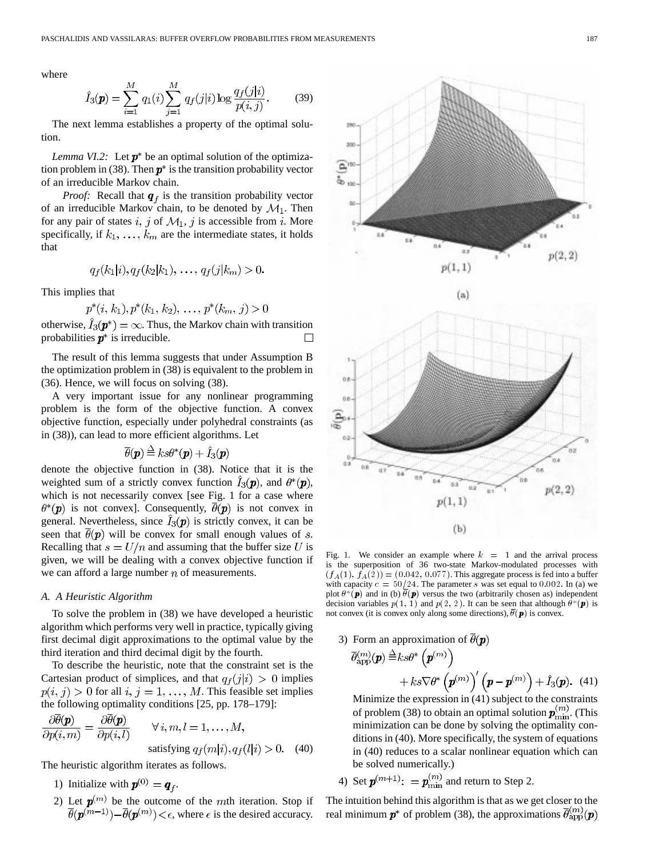where

$$
\hat{I}_3(\mathbf{p}) = \sum_{i=1}^{M} q_1(i) \sum_{j=1}^{M} q_j(j|i) \log \frac{q_j(j|i)}{p(i,j)}.
$$
 (39)

The next lemma establishes a property of the optimal solution.

*Lemma VI.2:* Let  $p^*$  be an optimal solution of the optimization problem in (38). Then  $p^*$  is the transition probability vector of an irreducible Markov chain.

*Proof:* Recall that  $q_f$  is the transition probability vector of an irreducible Markov chain, to be denoted by  $\mathcal{M}_1$ . Then for any pair of states i, j of  $\mathcal{M}_1$ , j is accessible from i. More specifically, if  $k_1, \ldots, k_m$  are the intermediate states, it holds that

$$
q_f(k_1|i), q_f(k_2|k_1), \ldots, q_f(j|k_m) > 0.
$$

This implies that

$$
p^*(i, k_1), p^*(k_1, k_2), \ldots, p^*(k_m, j) > 0
$$

otherwise,  $\hat{I}_3(\boldsymbol{p}^*) = \infty$ . Thus, the Markov chain with transition probabilities  $p^*$  is irreducible. П

The result of this lemma suggests that under Assumption B the optimization problem in (38) is equivalent to the problem in (36). Hence, we will focus on solving (38).

A very important issue for any nonlinear programming problem is the form of the objective function. A convex objective function, especially under polyhedral constraints (as in (38)), can lead to more efficient algorithms. Let

$$
\overline{\theta}(\mathbf{p}) \stackrel{\Delta}{=} ks\theta^*(\mathbf{p}) + \hat{I}_3(\mathbf{p})
$$

denote the objective function in (38). Notice that it is the weighted sum of a strictly convex function  $I_3(\mathbf{p})$ , and  $\theta^*(\mathbf{p})$ , which is not necessarily convex [see Fig. 1 for a case where  $\theta^*(p)$  is not convex]. Consequently,  $\theta(p)$  is not convex in general. Nevertheless, since  $I_3(p)$  is strictly convex, it can be seen that  $\overline{\theta}(\mathbf{p})$  will be convex for small enough values of s. Recalling that  $s = U/n$  and assuming that the buffer size U is given, we will be dealing with a convex objective function if we can afford a large number  $n$  of measurements.

#### *A. A Heuristic Algorithm*

To solve the problem in (38) we have developed a heuristic algorithm which performs very well in practice, typically giving first decimal digit approximations to the optimal value by the third iteration and third decimal digit by the fourth.

To describe the heuristic, note that the constraint set is the Cartesian product of simplices, and that  $q_f(j|i) > 0$  implies  $p(i, j) > 0$  for all  $i, j = 1, ..., M$ . This feasible set implies the following optimality conditions [25, pp. 178–179]:

$$
\frac{\partial \overline{\theta}(\mathbf{p})}{\partial p(i,m)} = \frac{\partial \overline{\theta}(\mathbf{p})}{\partial p(i,l)} \qquad \forall i, m, l = 1, ..., M,
$$
\nsatisfying  $q_f(m|i), q_f(l|i) > 0$ . (40)

The heuristic algorithm iterates as follows.

- 1) Initialize with  $p^{(0)} = q_f$ .
- 2) Let  $p^{(m)}$  be the outcome of the mth iteration. Stop if , where  $\epsilon$  is the desired accuracy.

 $p(2, 2)$  $p(1,1)$  $(a)$ oż 0.4 **DB**  $p(2, 2)$  $p(1,1)$  $(b)$ 

Fig. 1. We consider an example where  $k = 1$  and the arrival process is the superposition of 36 two-state Markov-modulated processes with  $(f_A(1), f_A(2)) = (0.042, 0.077)$ . This aggregate process is fed into a buffer with capacity  $c = 50/24$ . The parameter s was set equal to 0.002. In (a) we plot  $\theta^*(p)$  and in (b)  $\theta(p)$  versus the two (arbitrarily chosen as) independent decision variables  $p(1, 1)$  and  $p(2, 2)$ . It can be seen that although  $\theta^*(p)$  is not convex (it is convex only along some directions),  $\overline{\theta}(\mathbf{p})$  is convex.

3) Form an approximation of  $\theta(\mathbf{p})$ 

$$
\overline{\theta}_{\text{app}}^{(m)}(\boldsymbol{p}) \stackrel{\Delta}{=} ks\theta^* \left( \boldsymbol{p}^{(m)} \right) + ks\nabla\theta^* \left( \boldsymbol{p}^{(m)} \right)' \left( \boldsymbol{p} - \boldsymbol{p}^{(m)} \right) + \hat{I}_3(\boldsymbol{p}). \tag{41}
$$

Minimize the expression in (41) subject to the constraints of problem (38) to obtain an optimal solution  $p_{\min}^{(m)}$ . (This minimization can be done by solving the optimality conditions in (40). More specifically, the system of equations in (40) reduces to a scalar nonlinear equation which can be solved numerically.)

4) Set  $\boldsymbol{p}^{(m+1)}$ :  $= \boldsymbol{p}_{\text{min}}^{(m)}$  and return to Step 2.

The intuition behind this algorithm is that as we get closer to the real minimum  $p^*$  of problem (38), the approximations  $\overline{\theta}_{\text{app}}^{(m)}(p)$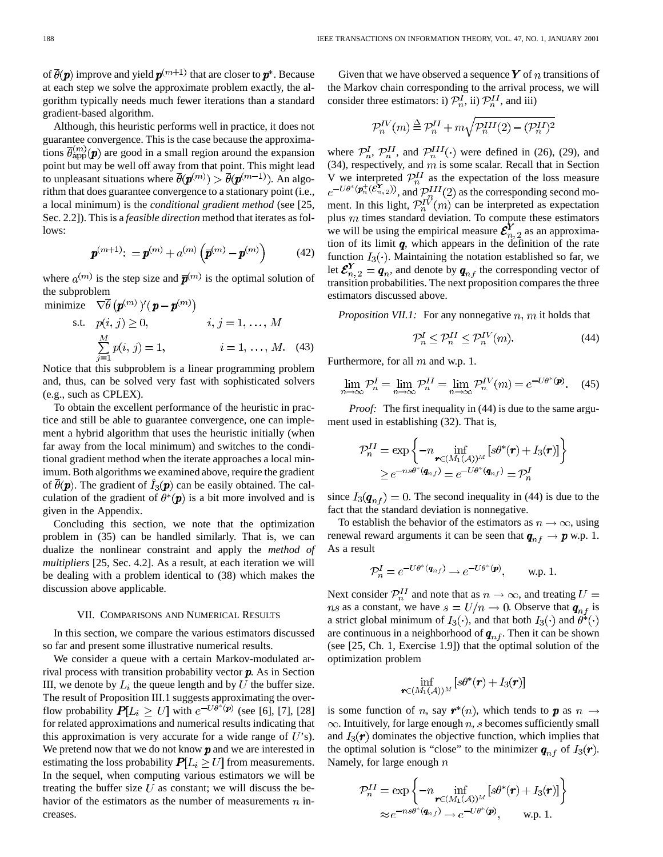of  $\overline{\theta}(\boldsymbol{p})$  improve and yield  $\boldsymbol{p}^{(m+1)}$  that are closer to  $\boldsymbol{p}^*$ . Because at each step we solve the approximate problem exactly, the algorithm typically needs much fewer iterations than a standard gradient-based algorithm.

Although, this heuristic performs well in practice, it does not guarantee convergence. This is the case because the approximations  $\overline{\theta}_{\rm app}^{(m)}(\boldsymbol{p})$  are good in a small region around the expansion point but may be well off away from that point. This might lead to unpleasant situations where  $\overline{\theta}(\boldsymbol{p}^{(m)}) > \overline{\theta}(\boldsymbol{p}^{(m-1)})$ . An algorithm that does guarantee convergence to a stationary point (i.e., a local minimum) is the *conditional gradient method* (see [25, Sec. 2.2]). This is a *feasible direction* method that iterates as follows:

$$
\bm{p}^{(m+1)}: = \bm{p}^{(m)} + a^{(m)} \left( \bar{\bm{p}}^{(m)} - \bm{p}^{(m)} \right)
$$
(42)

where  $a^{(m)}$  is the step size and  $\overline{p}^{(m)}$  is the optimal solution of the subproblem<br> $\overline{\nabla^2}(x^m)$   $V(x)$  $(m)$ 

minimize 
$$
\nabla \overline{\theta} (\mathbf{p}^{(m)})' (\mathbf{p} - \mathbf{p}^{(m)})
$$
  
s.t.  $p(i, j) \ge 0$ ,  $i, j = 1, ..., M$   

$$
\sum_{j=1}^{M} p(i, j) = 1, \qquad i = 1, ..., M.
$$
 (43)

Notice that this subproblem is a linear programming problem and, thus, can be solved very fast with sophisticated solvers (e.g., such as CPLEX).

To obtain the excellent performance of the heuristic in practice and still be able to guarantee convergence, one can implement a hybrid algorithm that uses the heuristic initially (when far away from the local minimum) and switches to the conditional gradient method when the iterate approaches a local minimum. Both algorithms we examined above, require the gradient of  $\overline{\theta}(\boldsymbol{p})$ . The gradient of  $\hat{I}_3(\boldsymbol{p})$  can be easily obtained. The calculation of the gradient of  $\theta^*(p)$  is a bit more involved and is given in the Appendix.

Concluding this section, we note that the optimization problem in (35) can be handled similarly. That is, we can dualize the nonlinear constraint and apply the *method of multipliers* [25, Sec. 4.2]. As a result, at each iteration we will be dealing with a problem identical to (38) which makes the discussion above applicable.

### VII. COMPARISONS AND NUMERICAL RESULTS

In this section, we compare the various estimators discussed so far and present some illustrative numerical results.

We consider a queue with a certain Markov-modulated arrival process with transition probability vector  $\boldsymbol{p}$ . As in Section III, we denote by  $L_i$  the queue length and by U the buffer size. The result of Proposition III.1 suggests approximating the overflow probability  $P[L_i \geq U]$  with  $e^{-U\hat{\theta}^*(p)}$  (see [6], [7], [28] for related approximations and numerical results indicating that this approximation is very accurate for a wide range of  $U$ 's). We pretend now that we do not know  $\boldsymbol{p}$  and we are interested in estimating the loss probability  $P[L_i \geq U]$  from measurements. In the sequel, when computing various estimators we will be treating the buffer size  $U$  as constant; we will discuss the behavior of the estimators as the number of measurements  $n$  increases.

Given that we have observed a sequence  $Y$  of n transitions of the Markov chain corresponding to the arrival process, we will consider three estimators: i)  $\mathcal{P}_n^I$ , ii)  $\mathcal{P}_n^{II}$ , and iii)

$$
\mathcal{P}_n^{IV}(m) \stackrel{\Delta}{=} \mathcal{P}_n^{II} + m\sqrt{\mathcal{P}_n^{III}(2) - (\mathcal{P}_n^{II})^2}
$$

where  $\mathcal{P}_n^I$ ,  $\mathcal{P}_n^{II}$ , and  $\mathcal{P}_n^{III}(\cdot)$  were defined in (26), (29), and (34), respectively, and  $m$  is some scalar. Recall that in Section V we interpreted  $\mathcal{P}_n^H$  as the expectation of the loss measure , and  $\mathcal{P}_n^{III}(2)$  as the corresponding second moment. In this light,  $\mathcal{P}_n^{\{V\}}(m)$  can be interpreted as expectation plus  $m$  times standard deviation. To compute these estimators we will be using the empirical measure  $\mathcal{E}_{n,2}^{Y}$  as an approximation of its limit  $q$ , which appears in the definition of the rate function  $I_3(\cdot)$ . Maintaining the notation established so far, we let  $\mathcal{E}_{n,2}^Y = \mathbf{q}_n$ , and denote by  $\mathbf{q}_{nf}$  the corresponding vector of transition probabilities. The next proposition compares the three estimators discussed above.

*Proposition VII.1:* For any nonnegative  $n, m$  it holds that

$$
\mathcal{P}_n^I \le \mathcal{P}_n^{II} \le \mathcal{P}_n^{IV}(m). \tag{44}
$$

Furthermore, for all  $m$  and w.p. 1.

$$
\lim_{n \to \infty} \mathcal{P}_n^I = \lim_{n \to \infty} \mathcal{P}_n^{II} = \lim_{n \to \infty} \mathcal{P}_n^{IV}(m) = e^{-U\theta^*}(\mathbf{p}). \tag{45}
$$

*Proof:* The first inequality in (44) is due to the same argument used in establishing (32). That is,

$$
\mathcal{P}_n^{II} = \exp\left\{-n \inf_{\mathbf{r} \in (M_1(\mathcal{A}))^M} [s\theta^*(\mathbf{r}) + I_3(\mathbf{r})] \right\}
$$

$$
\geq e^{-ns\theta^*(\mathbf{q}_{n,f})} = e^{-U\theta^*(\mathbf{q}_{n,f})} = \mathcal{P}_n^I
$$

since  $I_3(\mathbf{q}_{nf}) = 0$ . The second inequality in (44) is due to the fact that the standard deviation is nonnegative.

To establish the behavior of the estimators as  $n \to \infty$ , using renewal reward arguments it can be seen that  $q_{nf} \rightarrow p$  w.p. 1. As a result

$$
\mathcal{P}_n^I = e^{-U\theta^*(\mathbf{q}_{n,f})} \to e^{-U\theta^*(\mathbf{p})}, \qquad \text{w.p. 1.}
$$

Next consider  $\mathcal{P}_n^H$  and note that as  $n \to \infty$ , and treating  $U =$ ns as a constant, we have  $s = U/n \rightarrow 0$ . Observe that  $q_{nf}$  is a strict global minimum of  $I_3(\cdot)$ , and that both  $I_3(\cdot)$  and  $\theta^*(\cdot)$ are continuous in a neighborhood of  $q_{nf}$ . Then it can be shown (see [25, Ch. 1, Exercise 1.9]) that the optimal solution of the optimization problem

$$
\inf_{\boldsymbol{r}\in (M_1(\mathcal{A}))^M}\left[s\theta^*(\boldsymbol{r})+I_3(\boldsymbol{r})\right]
$$

is some function of n, say  $r^*(n)$ , which tends to p as  $n \to$  $\infty$ . Intuitively, for large enough n, s becomes sufficiently small and  $I_3(r)$  dominates the objective function, which implies that the optimal solution is "close" to the minimizer  $q_{nf}$  of  $I_3(r)$ . Namely, for large enough  $n$ 

$$
\mathcal{P}_n^{II} = \exp\left\{-n \inf_{\boldsymbol{r} \in (M_1(\mathcal{A}))^M} \left[s\theta^*(\boldsymbol{r}) + I_3(\boldsymbol{r})\right]\right\}
$$

$$
\approx e^{-n s\theta^*(\boldsymbol{q}_{n\bar{I}})} \to e^{-U\theta^*(\boldsymbol{p})}, \qquad \text{w.p. 1.}
$$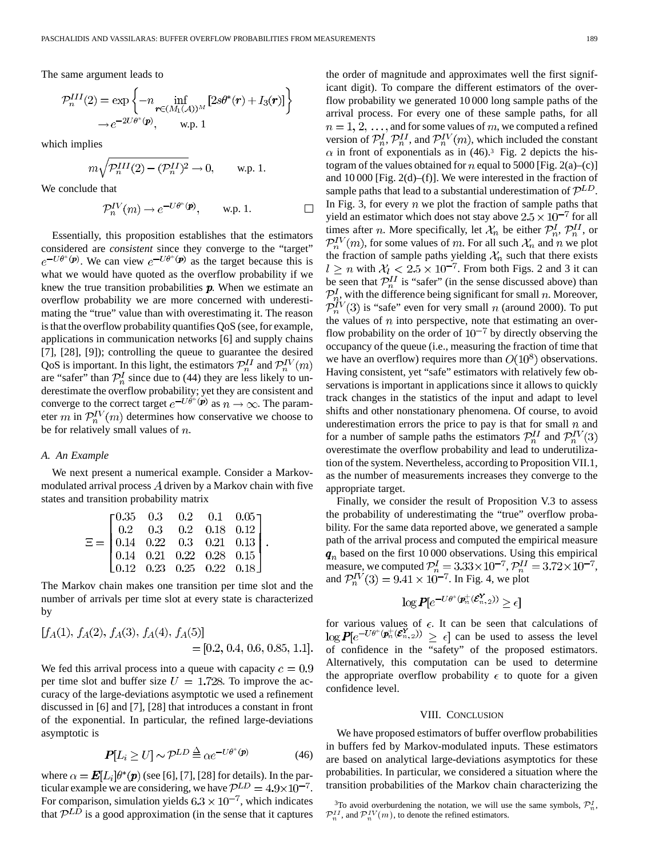The same argument leads to

$$
\mathcal{P}_n^{III}(2) = \exp\left\{-n \inf_{\mathbf{r} \in (M_1(\mathcal{A}))^M} [2s\theta^*(\mathbf{r}) + I_3(\mathbf{r})] \right\}
$$

$$
\rightarrow e^{-2U\theta^*(\mathbf{p})}, \qquad \text{w.p. 1}
$$

which implies

$$
m\sqrt{\mathcal{P}_n^{III}(2)-(\mathcal{P}_n^{II})^2}\to 0, \qquad \text{w.p. 1.}
$$

We conclude that

$$
\mathcal{P}_n^{IV}(m) \to e^{-U\theta^*({\bf p})}, \qquad \text{w.p. 1.} \qquad \Box
$$

Essentially, this proposition establishes that the estimators considered are *consistent* since they converge to the "target"  $e^{-U\theta^*({\bf p})}$ . We can view  $e^{-U\theta^*({\bf p})}$  as the target because this is what we would have quoted as the overflow probability if we knew the true transition probabilities  $\boldsymbol{p}$ . When we estimate an overflow probability we are more concerned with underestimating the "true" value than with overestimating it. The reason is that the overflow probability quantifies QoS (see, for example, applications in communication networks [6] and supply chains [7], [28], [9]); controlling the queue to guarantee the desired QoS is important. In this light, the estimators  $\mathcal{P}_n^H$  and are "safer" than  $\mathcal{P}_n^I$  since due to (44) they are less likely to underestimate the overflow probability; yet they are consistent and converge to the correct target  $e^{-U\theta^*(\mathbf{p})}$  as  $n \to \infty$ . The parameter m in  $\mathcal{P}_n^{\text{IV}}(m)$  determines how conservative we choose to be for relatively small values of  $n$ .

#### *A. An Example*

We next present a numerical example. Consider a Markovmodulated arrival process  $A$  driven by a Markov chain with five states and transition probability matrix

$$
\Xi = \begin{bmatrix} 0.35 & 0.3 & 0.2 & 0.1 & 0.05 \\ 0.2 & 0.3 & 0.2 & 0.18 & 0.12 \\ 0.14 & 0.22 & 0.3 & 0.21 & 0.13 \\ 0.14 & 0.21 & 0.22 & 0.28 & 0.15 \\ 0.12 & 0.23 & 0.25 & 0.22 & 0.18 \end{bmatrix}.
$$

The Markov chain makes one transition per time slot and the number of arrivals per time slot at every state is characterized by

$$
[f_A(1), f_A(2), f_A(3), f_A(4), f_A(5)] = [0.2, 0.4, 0.6, 0.85, 1.1].
$$

We fed this arrival process into a queue with capacity  $c = 0.9$ per time slot and buffer size  $U = 1.728$ . To improve the accuracy of the large-deviations asymptotic we used a refinement discussed in [6] and [7], [28] that introduces a constant in front of the exponential. In particular, the refined large-deviations asymptotic is

$$
\boldsymbol{P}[L_i \ge U] \sim \mathcal{P}^{LD} \stackrel{\Delta}{=} \alpha e^{-U\theta^*(\boldsymbol{p})} \tag{46}
$$

where  $\alpha = \mathbf{E}[L_i] \theta^*(\mathbf{p})$  (see [6], [7], [28] for details). In the particular example we are considering, we have  $\mathcal{P}^{LD} = 4.9 \times 10^{-7}$ . For comparison, simulation yields  $6.3 \times 10^{-7}$ , which indicates that  $\mathcal{P}^{LD}$  is a good approximation (in the sense that it captures the order of magnitude and approximates well the first significant digit). To compare the different estimators of the overflow probability we generated 10 000 long sample paths of the arrival process. For every one of these sample paths, for all  $n = 1, 2, \ldots$ , and for some values of m, we computed a refined version of  $\mathcal{P}_n^I$ ,  $\mathcal{P}_n^{II}$ , and  $\mathcal{P}_n^{IV}(m)$ , which included the constant  $\alpha$  in front of exponentials as in (46).<sup>3</sup> Fig. 2 depicts the histogram of the values obtained for *n* equal to 5000 [Fig. 2(a)–(c)] and 10 000 [Fig. 2(d)–(f)]. We were interested in the fraction of sample paths that lead to a substantial underestimation of  $\mathcal{P}^{LD}$ . In Fig. 3, for every  $n$  we plot the fraction of sample paths that yield an estimator which does not stay above  $2.5 \times 10^{-7}$  for all times after *n*. More specifically, let  $\mathcal{X}_n$  be either  $\mathcal{P}_n^I$ ,  $\mathcal{P}_n^{II}$ , or , for some values of m. For all such  $\mathcal{X}_n$  and n we plot the fraction of sample paths yielding  $\mathcal{X}_n$  such that there exists  $l \geq n$  with  $\mathcal{X}_l < 2.5 \times 10^{-7}$ . From both Figs. 2 and 3 it can be seen that  $\mathcal{P}_n^{II}$  is "safer" (in the sense discussed above) than  $\mathcal{P}_n^I$ , with the difference being significant for small n. Moreover,  $\mathcal{P}_n^{IV}(3)$  is "safe" even for very small n (around 2000). To put the values of  $n$  into perspective, note that estimating an overflow probability on the order of  $10^{-7}$  by directly observing the occupancy of the queue (i.e., measuring the fraction of time that we have an overflow) requires more than  $O(10^8)$  observations. Having consistent, yet "safe" estimators with relatively few observations is important in applications since it allows to quickly track changes in the statistics of the input and adapt to level shifts and other nonstationary phenomena. Of course, to avoid underestimation errors the price to pay is that for small  $n$  and for a number of sample paths the estimators  $\mathcal{P}_n^{II}$  and  $\mathcal{P}_n^{IV}(3)$ overestimate the overflow probability and lead to underutilization of the system. Nevertheless, according to Proposition VII.1, as the number of measurements increases they converge to the appropriate target.

Finally, we consider the result of Proposition V.3 to assess the probability of underestimating the "true" overflow probability. For the same data reported above, we generated a sample path of the arrival process and computed the empirical measure  $q_n$  based on the first 10 000 observations. Using this empirical measure, we computed  $\mathcal{P}_n^I = 3.33 \times 10^{-7}$ ,  $\mathcal{P}_n^{II} = 3.72 \times 10^{-7}$ , and  $\mathcal{P}_n^{IV}(3) = 9.41 \times 10^{-7}$ . In Fig. 4, we plot

$$
\log \bm{P}[e^{-U\theta^* (\bm{p}_n^+(\bm{\mathcal{E}}^\bm{Y}_{n,2}))}\geq \epsilon]
$$

for various values of  $\epsilon$ . It can be seen that calculations of can be used to assess the level of confidence in the "safety" of the proposed estimators. Alternatively, this computation can be used to determine the appropriate overflow probability  $\epsilon$  to quote for a given confidence level.

#### VIII. CONCLUSION

We have proposed estimators of buffer overflow probabilities in buffers fed by Markov-modulated inputs. These estimators are based on analytical large-deviations asymptotics for these probabilities. In particular, we considered a situation where the transition probabilities of the Markov chain characterizing the

<sup>&</sup>lt;sup>3</sup>To avoid overburdening the notation, we will use the same symbols,  $\mathcal{P}_n^I$ ,  $\mathcal{P}_n^{II}$ , and  $\mathcal{P}_n^{IV}(m)$ , to denote the refined estimators.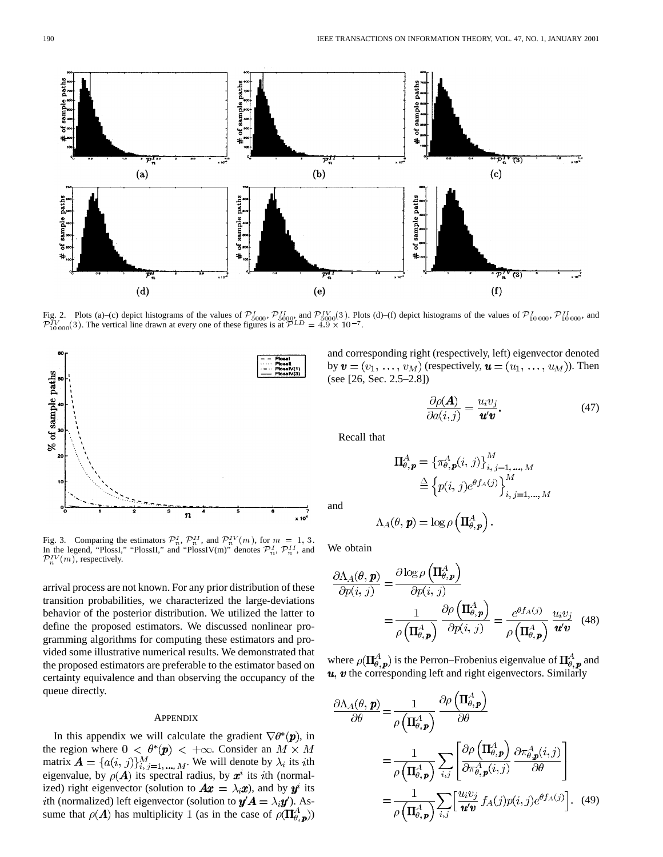

Fig. 2. Plots (a)–(c) depict histograms of the values of  $\mathcal{P}_{5000}^{I}$ ,  $\mathcal{P}_{5000}^{II}$ , and  $\mathcal{P}_{5000}^{IV}$  (3). Plots (d)–(f) depict histograms of the values of  $\mathcal{P}_{10000}^{I}$ ,  $\mathcal{P}_{10000}^{II}$ , and  $\mathcal{P}_{10\,000}^{IV}(3)$ . The vertical line drawn at every one of these figures is at  $\mathcal{P}^{LD} = 4.9 \times 10^{-7}$ .



Fig. 3. Comparing the estimators  $\mathcal{P}_n^I$ ,  $\mathcal{P}_n^{II}$ , and  $\mathcal{P}_n^{IV}(m)$ , for  $m = 1, 3$ . In the legend, "PlossI," "PlossII," and "PlossIV(m)" denotes  $\mathcal{P}_n^I$ ,  $\mathcal{P}_n^{II}$ , and  $\mathcal{P}_n^{IV}(m)$ , respectively.

arrival process are not known. For any prior distribution of these transition probabilities, we characterized the large-deviations behavior of the posterior distribution. We utilized the latter to define the proposed estimators. We discussed nonlinear programming algorithms for computing these estimators and provided some illustrative numerical results. We demonstrated that the proposed estimators are preferable to the estimator based on certainty equivalence and than observing the occupancy of the queue directly.

#### **APPENDIX**

In this appendix we will calculate the gradient  $\nabla \theta^*(p)$ , in the region where  $0 < \theta^*(p) < +\infty$ . Consider an matrix  $A = \{a(i, j)\}_{i,j=1,\dots,M}^M$ . We will denote by  $\lambda_i$  its *i*th eigenvalue, by  $\rho(A)$  its spectral radius, by  $x^i$  its *i*th (normalized) right eigenvector (solution to  $A x = \lambda_i x$ ), and by  $y^i$  its *i*th (normalized) left eigenvector (solution to  $y'A = \lambda_i y'$ ). Assume that  $\rho(A)$  has multiplicity 1 (as in the case of  $\rho(\Pi_{\theta, p}^{A})$ ) and corresponding right (respectively, left) eigenvector denoted by  $\mathbf{v} = (v_1, \ldots, v_M)$  (respectively,  $\mathbf{u} = (u_1, \ldots, u_M)$ ). Then (see [26, Sec. 2.5–2.8])

$$
\frac{\partial \rho(\mathbf{A})}{\partial a(i,j)} = \frac{u_i v_j}{\mathbf{u}' \mathbf{v}}.
$$
\n(47)

Recall that

$$
\mathbf{H}_{\theta,\mathbf{p}}^{A} = \left\{\pi_{\theta,\mathbf{p}}^{A}(i,j)\right\}_{i,j=1,\dots,M}^{M}
$$

$$
\stackrel{\Delta}{=} \left\{p(i,j)e^{\theta f_A(j)}\right\}_{i,j=1,\dots,M}^{M}
$$

and

$$
\Lambda_A(\theta,\textbf{\textit{p}})=\log\rho\left(\boldsymbol{\Pi}_{\theta,\textbf{\textit{p}}}^A\right).
$$

We obtain

$$
\frac{\partial \Lambda_A(\theta, \mathbf{p})}{\partial p(i, j)} = \frac{\partial \log \rho \left(\Pi_{\theta, \mathbf{p}}^A\right)}{\partial p(i, j)} \n= \frac{1}{\rho \left(\Pi_{\theta, \mathbf{p}}^A\right)} \frac{\partial \rho \left(\Pi_{\theta, \mathbf{p}}^A\right)}{\partial p(i, j)} = \frac{e^{\theta f_A(j)}}{\rho \left(\Pi_{\theta, \mathbf{p}}^A\right)} \frac{u_i v_j}{\mathbf{u}' \mathbf{v}} \tag{48}
$$

where  $\rho(\Pi_{\theta,\mathbf{n}}^A)$  is the Perron–Frobenius eigenvalue of  $\Pi_{\theta,\mathbf{n}}^A$  and the corresponding left and right eigenvectors. Similarly

$$
\frac{\partial \Lambda_A(\theta, \mathbf{p})}{\partial \theta} = \frac{1}{\rho \left(\Pi_{\theta, \mathbf{p}}^A\right)} \frac{\partial \rho \left(\Pi_{\theta, \mathbf{p}}^A\right)}{\partial \theta}
$$
\n
$$
= \frac{1}{\rho \left(\Pi_{\theta, \mathbf{p}}^A\right)} \sum_{i,j} \left[ \frac{\partial \rho \left(\Pi_{\theta, \mathbf{p}}^A\right)}{\partial \pi_{\theta, \mathbf{p}}^A(i,j)} \frac{\partial \pi_{\theta, \mathbf{p}}^A(i,j)}{\partial \theta} \right]
$$
\n
$$
= \frac{1}{\rho \left(\Pi_{\theta, \mathbf{p}}^A\right)} \sum_{i,j} \left[ \frac{u_i v_j}{\mathbf{u}' \mathbf{v}} f_A(j) p(i,j) e^{\theta f_A(j)} \right]. \tag{49}
$$